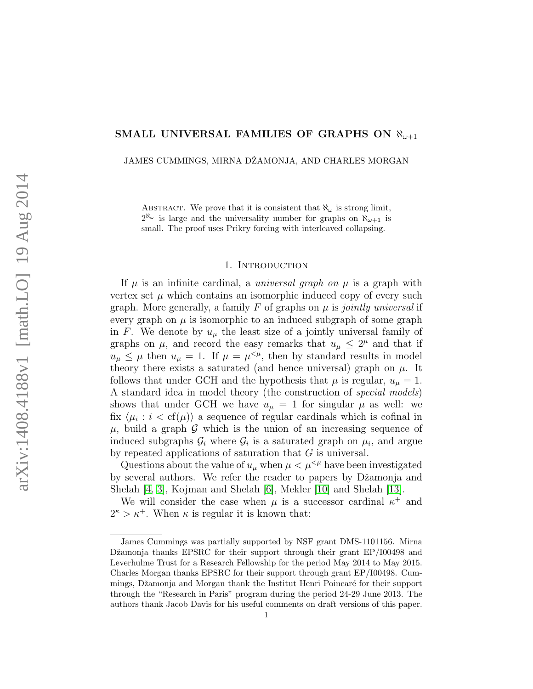## SMALL UNIVERSAL FAMILIES OF GRAPHS ON  $\aleph_{\omega+1}$

JAMES CUMMINGS, MIRNA DŻAMONJA, AND CHARLES MORGAN

ABSTRACT. We prove that it is consistent that  $\aleph_{\omega}$  is strong limit,  $2^{\aleph_{\omega}}$  is large and the universality number for graphs on  $\aleph_{\omega+1}$  is small. The proof uses Prikry forcing with interleaved collapsing.

#### 1. INTRODUCTION

If  $\mu$  is an infinite cardinal, a *universal graph on*  $\mu$  is a graph with vertex set  $\mu$  which contains an isomorphic induced copy of every such graph. More generally, a family F of graphs on  $\mu$  is *jointly universal* if every graph on  $\mu$  is isomorphic to an induced subgraph of some graph in F. We denote by  $u_{\mu}$  the least size of a jointly universal family of graphs on  $\mu$ , and record the easy remarks that  $u_{\mu} \leq 2^{\mu}$  and that if  $u_{\mu} \leq \mu$  then  $u_{\mu} = 1$ . If  $\mu = \mu^{<\mu}$ , then by standard results in model theory there exists a saturated (and hence universal) graph on  $\mu$ . It follows that under GCH and the hypothesis that  $\mu$  is regular,  $u_{\mu} = 1$ . A standard idea in model theory (the construction of special models) shows that under GCH we have  $u_{\mu} = 1$  for singular  $\mu$  as well: we fix  $\langle \mu_i : i < \text{cf}(\mu) \rangle$  a sequence of regular cardinals which is cofinal in  $\mu$ , build a graph  $\mathcal G$  which is the union of an increasing sequence of induced subgraphs  $\mathcal{G}_i$  where  $\mathcal{G}_i$  is a saturated graph on  $\mu_i$ , and argue by repeated applications of saturation that G is universal.

Questions about the value of  $u_{\mu}$  when  $\mu < \mu^{<\mu}$  have been investigated by several authors. We refer the reader to papers by Džamonja and Shelah [\[4,](#page-34-0) [3\]](#page-34-1), Kojman and Shelah [\[6\]](#page-34-2), Mekler [\[10\]](#page-34-3) and Shelah [\[13\]](#page-34-4).

We will consider the case when  $\mu$  is a successor cardinal  $\kappa^+$  and  $2^{\kappa} > \kappa^+$ . When  $\kappa$  is regular it is known that:

James Cummings was partially supported by NSF grant DMS-1101156. Mirna Džamonja thanks EPSRC for their support through their grant EP/I00498 and Leverhulme Trust for a Research Fellowship for the period May 2014 to May 2015. Charles Morgan thanks EPSRC for their support through grant EP/I00498. Cummings, Džamonja and Morgan thank the Institut Henri Poincaré for their support through the "Research in Paris" program during the period 24-29 June 2013. The authors thank Jacob Davis for his useful comments on draft versions of this paper.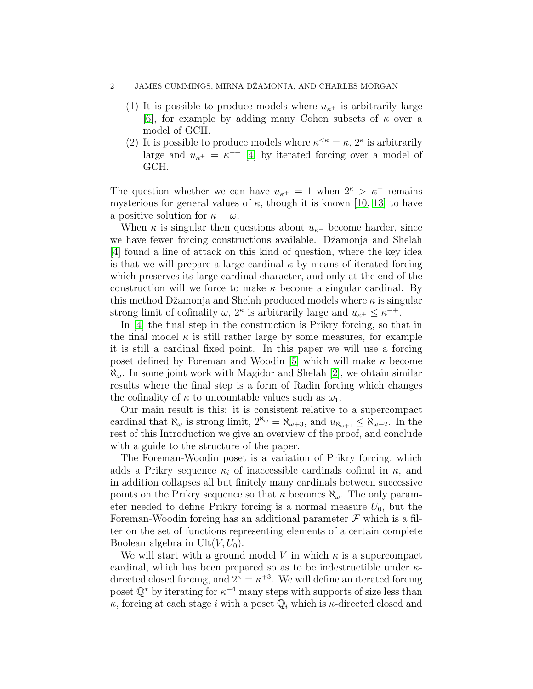- (1) It is possible to produce models where  $u_{\kappa^+}$  is arbitrarily large [\[6\]](#page-34-2), for example by adding many Cohen subsets of  $\kappa$  over a model of GCH.
- (2) It is possible to produce models where  $\kappa^{\leq \kappa} = \kappa$ ,  $2^{\kappa}$  is arbitrarily large and  $u_{\kappa^+} = \kappa^{++}$  [\[4\]](#page-34-0) by iterated forcing over a model of GCH.

The question whether we can have  $u_{\kappa^+} = 1$  when  $2^{\kappa} > \kappa^+$  remains mysterious for general values of  $\kappa$ , though it is known [\[10,](#page-34-3) [13\]](#page-34-4) to have a positive solution for  $\kappa = \omega$ .

When  $\kappa$  is singular then questions about  $u_{\kappa^+}$  become harder, since we have fewer forcing constructions available. Džamonja and Shelah [\[4\]](#page-34-0) found a line of attack on this kind of question, where the key idea is that we will prepare a large cardinal  $\kappa$  by means of iterated forcing which preserves its large cardinal character, and only at the end of the construction will we force to make  $\kappa$  become a singular cardinal. By this method Džamonja and Shelah produced models where  $\kappa$  is singular strong limit of cofinality  $\omega$ ,  $2^{\kappa}$  is arbitrarily large and  $u_{\kappa^+} \leq \kappa^{++}$ .

In [\[4\]](#page-34-0) the final step in the construction is Prikry forcing, so that in the final model  $\kappa$  is still rather large by some measures, for example it is still a cardinal fixed point. In this paper we will use a forcing poset defined by Foreman and Woodin [\[5\]](#page-34-5) which will make  $\kappa$  become  $\aleph_{\omega}$ . In some joint work with Magidor and Shelah [\[2\]](#page-33-0), we obtain similar results where the final step is a form of Radin forcing which changes the cofinality of  $\kappa$  to uncountable values such as  $\omega_1$ .

Our main result is this: it is consistent relative to a supercompact cardinal that  $\aleph_{\omega}$  is strong limit,  $2^{\aleph_{\omega}} = \aleph_{\omega+3}$ , and  $u_{\aleph_{\omega+1}} \leq \aleph_{\omega+2}$ . In the rest of this Introduction we give an overview of the proof, and conclude with a guide to the structure of the paper.

The Foreman-Woodin poset is a variation of Prikry forcing, which adds a Prikry sequence  $\kappa_i$  of inaccessible cardinals cofinal in  $\kappa$ , and in addition collapses all but finitely many cardinals between successive points on the Prikry sequence so that  $\kappa$  becomes  $\aleph_{\omega}$ . The only parameter needed to define Prikry forcing is a normal measure  $U_0$ , but the Foreman-Woodin forcing has an additional parameter  $\mathcal F$  which is a filter on the set of functions representing elements of a certain complete Boolean algebra in Ult $(V, U_0)$ .

We will start with a ground model V in which  $\kappa$  is a supercompact cardinal, which has been prepared so as to be indestructible under  $\kappa$ directed closed forcing, and  $2^k = \kappa^{+3}$ . We will define an iterated forcing poset  $\mathbb{Q}^*$  by iterating for  $\kappa^{+4}$  many steps with supports of size less than  $\kappa$ , forcing at each stage i with a poset  $\mathbb{Q}_i$  which is  $\kappa$ -directed closed and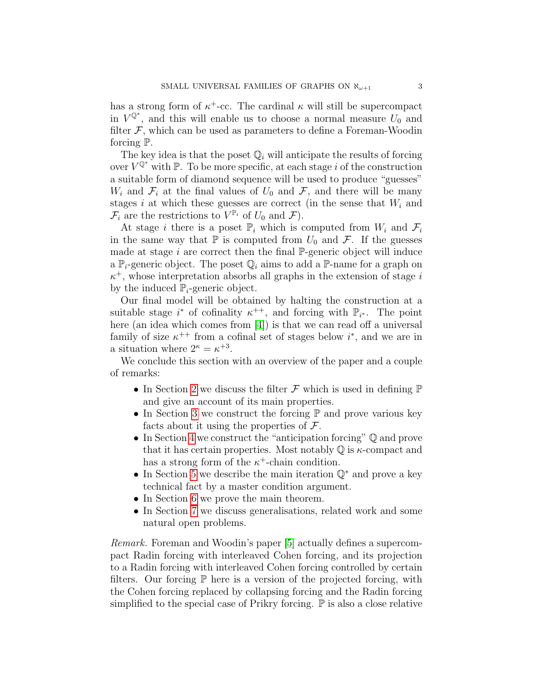has a strong form of  $\kappa^+$ -cc. The cardinal  $\kappa$  will still be supercompact in  $V^{\mathbb{Q}^*}$ , and this will enable us to choose a normal measure  $U_0$  and filter  $F$ , which can be used as parameters to define a Foreman-Woodin forcing P.

The key idea is that the poset  $\mathbb{Q}_i$  will anticipate the results of forcing over  $V^{\mathbb{Q}^*}$  with  $\mathbb{P}$ . To be more specific, at each stage i of the construction a suitable form of diamond sequence will be used to produce "guesses"  $W_i$  and  $\mathcal{F}_i$  at the final values of  $U_0$  and  $\mathcal{F}_i$ , and there will be many stages i at which these guesses are correct (in the sense that  $W_i$  and  $\mathcal{F}_i$  are the restrictions to  $V^{\mathbb{P}_i}$  of  $U_0$  and  $\mathcal{F}$ ).

At stage i there is a poset  $\mathbb{P}_i$  which is computed from  $W_i$  and  $\mathcal{F}_i$ in the same way that  $\mathbb P$  is computed from  $U_0$  and  $\mathcal F$ . If the guesses made at stage  $i$  are correct then the final  $\mathbb{P}$ -generic object will induce a  $\mathbb{P}_i$ -generic object. The poset  $\mathbb{Q}_i$  aims to add a  $\mathbb{P}$ -name for a graph on  $\kappa^+$ , whose interpretation absorbs all graphs in the extension of stage is by the induced  $\mathbb{P}_i$ -generic object.

Our final model will be obtained by halting the construction at a suitable stage  $i^*$  of cofinality  $\kappa^{++}$ , and forcing with  $\mathbb{P}_{i^*}$ . The point here (an idea which comes from [\[4\]](#page-34-0)) is that we can read off a universal family of size  $\kappa^{++}$  from a cofinal set of stages below  $i^*$ , and we are in a situation where  $2^{\kappa} = \kappa^{+3}$ .

We conclude this section with an overview of the paper and a couple of remarks:

- In Section [2](#page-3-0) we discuss the filter  $\mathcal F$  which is used in defining  $\mathbb P$ and give an account of its main properties.
- In Section [3](#page-10-0) we construct the forcing  $\mathbb P$  and prove various key facts about it using the properties of  $\mathcal{F}$ .
- In Section [4](#page-17-0) we construct the "anticipation forcing" Q and prove that it has certain properties. Most notably  $\mathbb Q$  is  $\kappa$ -compact and has a strong form of the  $\kappa^+$ -chain condition.
- In Section [5](#page-25-0) we describe the main iteration Q<sup>∗</sup> and prove a key technical fact by a master condition argument.
- In Section [6](#page-31-0) we prove the main theorem.
- In Section [7](#page-33-1) we discuss generalisations, related work and some natural open problems.

Remark. Foreman and Woodin's paper [\[5\]](#page-34-5) actually defines a supercompact Radin forcing with interleaved Cohen forcing, and its projection to a Radin forcing with interleaved Cohen forcing controlled by certain filters. Our forcing  $\mathbb P$  here is a version of the projected forcing, with the Cohen forcing replaced by collapsing forcing and the Radin forcing simplified to the special case of Prikry forcing.  $\mathbb P$  is also a close relative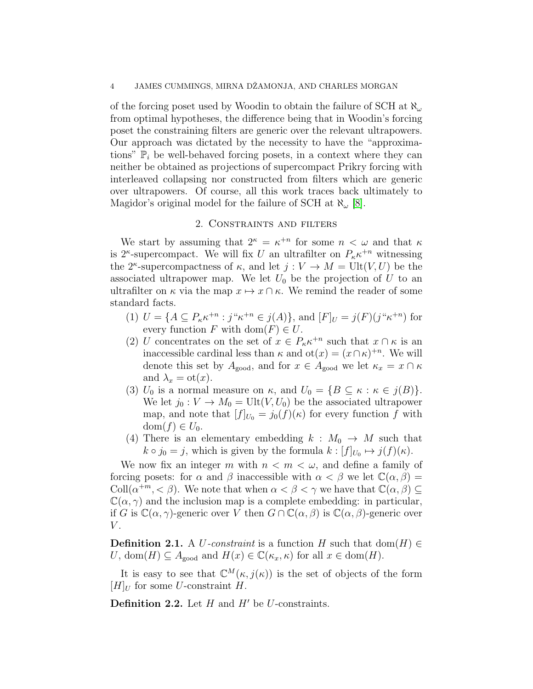of the forcing poset used by Woodin to obtain the failure of SCH at  $\aleph_{\omega}$ , from optimal hypotheses, the difference being that in Woodin's forcing poset the constraining filters are generic over the relevant ultrapowers. Our approach was dictated by the necessity to have the "approximations"  $\mathbb{P}_i$  be well-behaved forcing posets, in a context where they can neither be obtained as projections of supercompact Prikry forcing with interleaved collapsing nor constructed from filters which are generic over ultrapowers. Of course, all this work traces back ultimately to Magidor's original model for the failure of SCH at  $\aleph_{\omega}$  [\[8\]](#page-34-6).

#### 2. Constraints and filters

<span id="page-3-0"></span>We start by assuming that  $2^k = \kappa^{n}$  for some  $n < \omega$  and that  $\kappa$ is  $2^{\kappa}$ -supercompact. We will fix U an ultrafilter on  $P_{\kappa} \kappa^{+n}$  witnessing the 2<sup>*κ*</sup>-supercompactness of  $\kappa$ , and let  $j: V \to M = \text{Ult}(V, U)$  be the associated ultrapower map. We let  $U_0$  be the projection of U to an ultrafilter on  $\kappa$  via the map  $x \mapsto x \cap \kappa$ . We remind the reader of some standard facts.

- (1)  $U = \{ A \subseteq P_{\kappa} \kappa^{+n} : j^{\kappa} \kappa^{+n} \in j(A) \}, \text{ and } [F]_U = j(F)(j^{\kappa} \kappa^{+n}) \text{ for }$ every function F with  $dom(F) \in U$ .
- (2) U concentrates on the set of  $x \in P_{\kappa} \kappa^{n}$  such that  $x \cap \kappa$  is an inaccessible cardinal less than  $\kappa$  and  $ot(x) = (x \cap \kappa)^{+n}$ . We will denote this set by  $A_{\text{good}}$ , and for  $x \in A_{\text{good}}$  we let  $\kappa_x = x \cap \kappa$ and  $\lambda_x = \mathrm{ot}(x)$ .
- (3)  $U_0$  is a normal measure on  $\kappa$ , and  $U_0 = \{B \subseteq \kappa : \kappa \in j(B)\}.$ We let  $j_0 : V \to M_0 = \text{Ult}(V, U_0)$  be the associated ultrapower map, and note that  $[f]_{U_0} = j_0(f)(\kappa)$  for every function f with  $dom(f) \in U_0$ .
- (4) There is an elementary embedding  $k : M_0 \to M$  such that  $k \circ j_0 = j$ , which is given by the formula  $k : [f]_{U_0} \mapsto j(f)(\kappa)$ .

We now fix an integer m with  $n < m < \omega$ , and define a family of forcing posets: for  $\alpha$  and  $\beta$  inaccessible with  $\alpha < \beta$  we let  $\mathbb{C}(\alpha, \beta) =$ Coll $(\alpha^{+m}, < \beta)$ . We note that when  $\alpha < \beta < \gamma$  we have that  $\mathbb{C}(\alpha, \beta) \subseteq$  $\mathbb{C}(\alpha, \gamma)$  and the inclusion map is a complete embedding: in particular, if G is  $\mathbb{C}(\alpha, \gamma)$ -generic over V then  $G \cap \mathbb{C}(\alpha, \beta)$  is  $\mathbb{C}(\alpha, \beta)$ -generic over  $V$ .

**Definition 2.1.** A U-constraint is a function H such that dom(H)  $\in$ U, dom $(H) \subseteq A_{\text{good}}$  and  $H(x) \in \mathbb{C}(\kappa_x, \kappa)$  for all  $x \in \text{dom}(H)$ .

It is easy to see that  $\mathbb{C}^M(\kappa, j(\kappa))$  is the set of objects of the form  $[H]_U$  for some U-constraint H.

**Definition 2.2.** Let  $H$  and  $H'$  be U-constraints.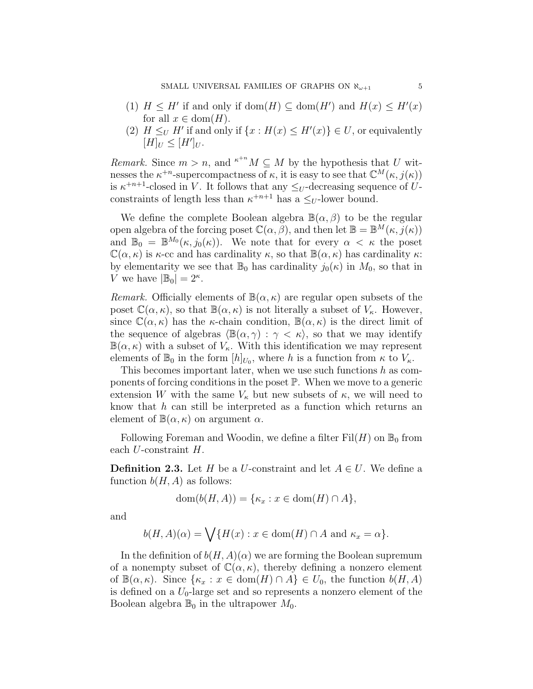- (1)  $H \leq H'$  if and only if dom $(H) \subseteq \text{dom}(H')$  and  $H(x) \leq H'(x)$ for all  $x \in \text{dom}(H)$ .
- (2)  $H \leq_U H'$  if and only if  $\{x : H(x) \leq H'(x)\} \in U$ , or equivalently  $[H]_U \leq [H']_U.$

*Remark.* Since  $m > n$ , and  $\kappa^{n} M \subseteq M$  by the hypothesis that U witnesses the  $\kappa^{+n}$ -supercompactness of  $\kappa$ , it is easy to see that  $\mathbb{C}^M(\kappa, j(\kappa))$ is  $\kappa^{+n+1}$ -closed in V. It follows that any  $\leq_U$ -decreasing sequence of Uconstraints of length less than  $\kappa^{+n+1}$  has a  $\leq_U$ -lower bound.

We define the complete Boolean algebra  $\mathbb{B}(\alpha,\beta)$  to be the regular open algebra of the forcing poset  $\mathbb{C}(\alpha, \beta)$ , and then let  $\mathbb{B} = \mathbb{B}^M(\kappa, \tilde{j}(\kappa))$ and  $\mathbb{B}_0 = \mathbb{B}^{M_0}(\kappa, j_0(\kappa))$ . We note that for every  $\alpha < \kappa$  the poset  $\mathbb{C}(\alpha,\kappa)$  is  $\kappa$ -cc and has cardinality  $\kappa$ , so that  $\mathbb{B}(\alpha,\kappa)$  has cardinality  $\kappa$ : by elementarity we see that  $\mathbb{B}_0$  has cardinality  $j_0(\kappa)$  in  $M_0$ , so that in V we have  $|\mathbb{B}_0| = 2^{\kappa}$ .

Remark. Officially elements of  $\mathbb{B}(\alpha,\kappa)$  are regular open subsets of the poset  $\mathbb{C}(\alpha,\kappa)$ , so that  $\mathbb{B}(\alpha,\kappa)$  is not literally a subset of  $V_{\kappa}$ . However, since  $\mathbb{C}(\alpha,\kappa)$  has the *κ*-chain condition,  $\mathbb{B}(\alpha,\kappa)$  is the direct limit of the sequence of algebras  $\langle \mathbb{B}(\alpha, \gamma) : \gamma < \kappa \rangle$ , so that we may identify  $\mathbb{B}(\alpha,\kappa)$  with a subset of  $V_{\kappa}$ . With this identification we may represent elements of  $\mathbb{B}_0$  in the form  $[h]_{U_0}$ , where h is a function from  $\kappa$  to  $V_{\kappa}$ .

This becomes important later, when we use such functions  $h$  as components of forcing conditions in the poset P. When we move to a generic extension W with the same  $V_{\kappa}$  but new subsets of  $\kappa$ , we will need to know that  $h$  can still be interpreted as a function which returns an element of  $\mathbb{B}(\alpha,\kappa)$  on argument  $\alpha$ .

Following Foreman and Woodin, we define a filter  $Fil(H)$  on  $\mathbb{B}_0$  from each U-constraint H.

**Definition 2.3.** Let H be a U-constraint and let  $A \in U$ . We define a function  $b(H, A)$  as follows:

$$
\text{dom}(b(H, A)) = \{ \kappa_x : x \in \text{dom}(H) \cap A \},
$$

and

$$
b(H, A)(\alpha) = \bigvee \{ H(x) : x \in \text{dom}(H) \cap A \text{ and } \kappa_x = \alpha \}.
$$

In the definition of  $b(H, A)(\alpha)$  we are forming the Boolean supremum of a nonempty subset of  $\mathbb{C}(\alpha,\kappa)$ , thereby defining a nonzero element of  $\mathbb{B}(\alpha,\kappa)$ . Since  $\{\kappa_x : x \in \text{dom}(H) \cap A\} \in U_0$ , the function  $b(H,A)$ is defined on a  $U_0$ -large set and so represents a nonzero element of the Boolean algebra  $\mathbb{B}_0$  in the ultrapower  $M_0$ .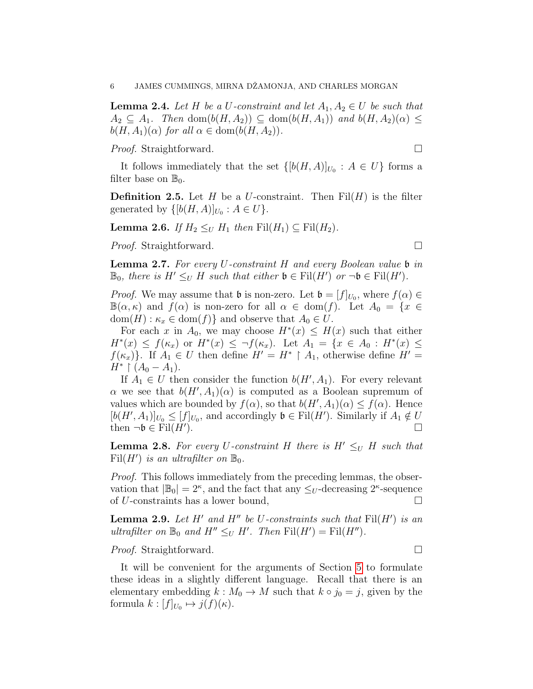<span id="page-5-0"></span>**Lemma 2.4.** Let H be a U-constraint and let  $A_1, A_2 \in U$  be such that  $A_2 \subseteq A_1$ . Then dom $(b(H, A_2)) \subseteq$  dom $(b(H, A_1))$  and  $b(H, A_2)(\alpha) \le$  $b(H, A_1)(\alpha)$  for all  $\alpha \in \text{dom}(b(H, A_2)).$ 

*Proof.* Straightforward. □

It follows immediately that the set  $\{[b(H,A)]_{U_0}: A \in U\}$  forms a filter base on  $\mathbb{B}_0$ .

**Definition 2.5.** Let H be a U-constraint. Then  $\text{Fil}(H)$  is the filter generated by  $\{ [b(H, A)]_{U_0} : A \in U \}.$ 

**Lemma 2.6.** If  $H_2 \leq_U H_1$  then  $\text{Fil}(H_1) \subseteq \text{Fil}(H_2)$ .

*Proof.* Straightforward. □

**Lemma 2.7.** For every U-constraint H and every Boolean value  $\mathfrak b$  in  $\mathbb{B}_0$ , there is  $H' \leq_U H$  such that either  $\mathfrak{b} \in \mathrm{Fil}(H')$  or  $\neg \mathfrak{b} \in \mathrm{Fil}(H')$ .

*Proof.* We may assume that  $\mathfrak b$  is non-zero. Let  $\mathfrak b = [f]_{U_0}$ , where  $f(\alpha) \in$  $\mathbb{B}(\alpha,\kappa)$  and  $f(\alpha)$  is non-zero for all  $\alpha \in \text{dom}(f)$ . Let  $A_0 = \{x \in$  $dom(H) : \kappa_x \in dom(f)$  and observe that  $A_0 \in U$ .

For each x in  $A_0$ , we may choose  $H^*(x) \leq H(x)$  such that either  $H^*(x) \le f(\kappa_x)$  or  $H^*(x) \le \neg f(\kappa_x)$ . Let  $A_1 = \{x \in A_0 : H^*(x) \le$  $f(\kappa_x)$ . If  $A_1 \in U$  then define  $H' = H^* \upharpoonright A_1$ , otherwise define  $H' =$  $H^* \restriction (A_0 - A_1).$ 

If  $A_1 \in U$  then consider the function  $b(H', A_1)$ . For every relevant  $\alpha$  we see that  $b(H', A_1)(\alpha)$  is computed as a Boolean supremum of values which are bounded by  $f(\alpha)$ , so that  $b(H', A_1)(\alpha) \le f(\alpha)$ . Hence  $[b(H', A_1)]_{U_0} \leq [f]_{U_0}$ , and accordingly  $\mathfrak{b} \in \text{Fil}(H')$ . Similarly if  $A_1 \notin U$ then  $\neg \mathfrak{b} \in \text{Fil}(H')$ . ).  $\Box$ 

**Lemma 2.8.** For every U-constraint H there is  $H' \leq_U H$  such that Fil $(H')$  is an ultrafilter on  $\mathbb{B}_0$ .

Proof. This follows immediately from the preceding lemmas, the observation that  $|\mathbb{B}_0| = 2^{\kappa}$ , and the fact that any  $\leq_U$ -decreasing  $2^{\kappa}$ -sequence of U-constraints has a lower bound,  $\square$ 

<span id="page-5-1"></span>**Lemma 2.9.** Let  $H'$  and  $H''$  be U-constraints such that  $\text{Fil}(H')$  is an ultrafilter on  $\mathbb{B}_0$  and  $H'' \leq_U H'$ . Then  $\text{Fil}(H') = \text{Fil}(H'')$ .

*Proof.* Straightforward. □

It will be convenient for the arguments of Section [5](#page-25-0) to formulate these ideas in a slightly different language. Recall that there is an elementary embedding  $k : M_0 \to M$  such that  $k \circ j_0 = j$ , given by the formula  $k: [f]_{U_0} \mapsto j(f)(\kappa)$ .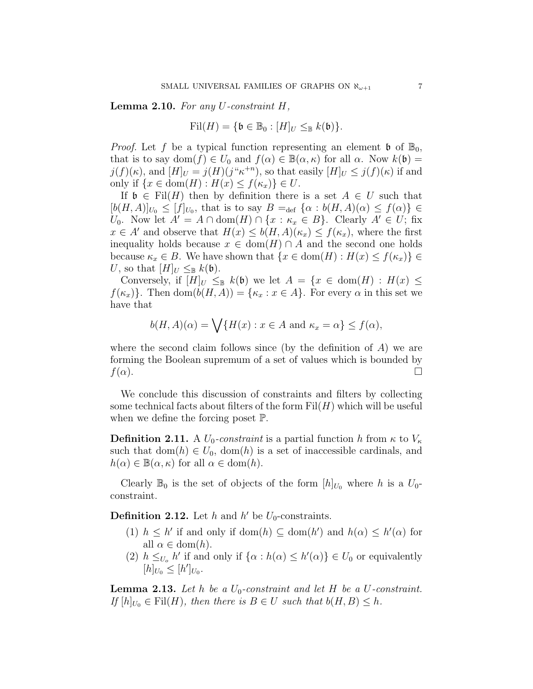**Lemma 2.10.** For any  $U$ -constraint  $H$ ,

$$
\mathrm{Fil}(H) = \{ \mathfrak{b} \in \mathbb{B}_0 : [H]_U \leq_{\mathbb{B}} k(\mathfrak{b}) \}.
$$

*Proof.* Let f be a typical function representing an element  $\mathfrak{b}$  of  $\mathbb{B}_0$ , that is to say dom $(f) \in U_0$  and  $f(\alpha) \in \mathbb{B}(\alpha, \kappa)$  for all  $\alpha$ . Now  $k(\mathfrak{b}) =$  $j(f)(\kappa)$ , and  $[H]_U = j(H)(j^{\alpha}\kappa^{+n})$ , so that easily  $[H]_U \leq j(f)(\kappa)$  if and only if  $\{x \in \text{dom}(H) : H(x) \le f(\kappa_x)\} \in U$ .

If  $\mathfrak{b} \in \text{Fil}(H)$  then by definition there is a set  $A \in U$  such that  $[b(H,A)]_{U_0} \leq [f]_{U_0}$ , that is to say  $B =_{def} {\alpha : b(H,A)(\alpha) \leq f(\alpha)} \in$ U<sub>0</sub>. Now let  $A' = A \cap \text{dom}(H) \cap \{x : \kappa_x \in B\}$ . Clearly  $A' \in U$ ; fix  $x \in A'$  and observe that  $H(x) \leq b(H, A)(\kappa_x) \leq f(\kappa_x)$ , where the first inequality holds because  $x \in \text{dom}(H) \cap A$  and the second one holds because  $\kappa_x \in B$ . We have shown that  $\{x \in \text{dom}(H) : H(x) \le f(\kappa_x)\}\in$ U, so that  $[H]_U \leq_{\mathbb{B}} k(\mathfrak{b})$ .

Conversely, if  $[H]_U \leq_{\mathbb{B}} k(\mathfrak{b})$  we let  $A = \{x \in \text{dom}(H) : H(x) \leq \emptyset\}$  $f(\kappa_x)$ . Then dom $(b(H, A)) = {\kappa_x : x \in A}$ . For every  $\alpha$  in this set we have that

$$
b(H, A)(\alpha) = \bigvee \{ H(x) : x \in A \text{ and } \kappa_x = \alpha \} \le f(\alpha),
$$

where the second claim follows since (by the definition of  $A$ ) we are forming the Boolean supremum of a set of values which is bounded by  $f(\alpha)$ .

We conclude this discussion of constraints and filters by collecting some technical facts about filters of the form  $Fil(H)$  which will be useful when we define the forcing poset P.

**Definition 2.11.** A  $U_0$ -constraint is a partial function h from  $\kappa$  to  $V_\kappa$ such that  $dom(h) \in U_0$ ,  $dom(h)$  is a set of inaccessible cardinals, and  $h(\alpha) \in \mathbb{B}(\alpha, \kappa)$  for all  $\alpha \in \text{dom}(h)$ .

Clearly  $\mathbb{B}_0$  is the set of objects of the form  $[h]_{U_0}$  where h is a  $U_0$ constraint.

**Definition 2.12.** Let h and h' be  $U_0$ -constraints.

- (1)  $h \leq h'$  if and only if dom(h)  $\subseteq$  dom(h') and  $h(\alpha) \leq h'(\alpha)$  for all  $\alpha \in \text{dom}(h)$ .
- (2)  $h \leq_{U_o} h'$  if and only if  $\{\alpha : h(\alpha) \leq h'(\alpha)\}\in U_0$  or equivalently  $[h]_{U_0} \leq [h']_{U_0}.$

<span id="page-6-0"></span>**Lemma 2.13.** Let h be a  $U_0$ -constraint and let H be a U-constraint. If  $[h]_{U_0} \in \text{Fil}(H)$ , then there is  $B \in U$  such that  $b(H, B) \leq h$ .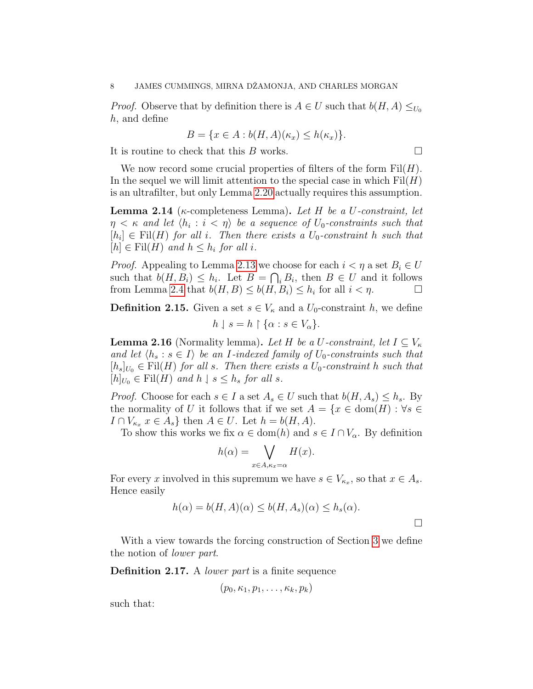*Proof.* Observe that by definition there is  $A \in U$  such that  $b(H, A) \leq_{U_0}$ h, and define

$$
B = \{x \in A : b(H, A)(\kappa_x) \le h(\kappa_x)\}.
$$

It is routine to check that this B works.

We now record some crucial properties of filters of the form  $Fil(H)$ . In the sequel we will limit attention to the special case in which  $Fil(H)$ is an ultrafilter, but only Lemma [2.20](#page-8-0) actually requires this assumption.

<span id="page-7-1"></span>**Lemma 2.14** ( $\kappa$ -completeness Lemma). Let H be a U-constraint, let  $\eta < \kappa$  and let  $\langle h_i : i < \eta \rangle$  be a sequence of  $U_0$ -constraints such that  $[h_i] \in \text{Fil}(H)$  for all i. Then there exists a  $U_0$ -constraint h such that  $[h] \in \text{Fil}(H)$  and  $h \leq h_i$  for all i.

*Proof.* Appealing to Lemma [2.13](#page-6-0) we choose for each  $i < \eta$  a set  $B_i \in U$ such that  $b(H, B_i) \leq h_i$ . Let  $B = \bigcap_i B_i$ , then  $B \in U$  and it follows from Lemma [2.4](#page-5-0) that  $b(H, B) \leq b(H, B_i) \leq h_i$  for all  $i < \eta$ .

**Definition 2.15.** Given a set  $s \in V_{\kappa}$  and a  $U_0$ -constraint h, we define  $h \downharpoonleft s = h \upharpoonright {\alpha : s \in V_\alpha}.$ 

<span id="page-7-0"></span>**Lemma 2.16** (Normality lemma). Let H be a U-constraint, let  $I \subseteq V_{\kappa}$ and let  $\langle h_s : s \in I \rangle$  be an *I*-indexed family of  $U_0$ -constraints such that  $[h_s]_{U_0} \in \text{Fil}(H)$  for all s. Then there exists a  $U_0$ -constraint h such that  $[h]_{U_0} \in \text{Fil}(H)$  and  $h \downharpoonleft s \leq h_s$  for all s.

*Proof.* Choose for each  $s \in I$  a set  $A_s \in U$  such that  $b(H, A_s) \leq h_s$ . By the normality of U it follows that if we set  $A = \{x \in \text{dom}(H) : \forall s \in$  $I \cap V_{\kappa_x}$   $x \in A_s$  then  $A \in U$ . Let  $h = b(H, A)$ .

To show this works we fix  $\alpha \in \text{dom}(h)$  and  $s \in I \cap V_{\alpha}$ . By definition

$$
h(\alpha) = \bigvee_{x \in A, \kappa_x = \alpha} H(x).
$$

For every x involved in this supremum we have  $s \in V_{\kappa_x}$ , so that  $x \in A_s$ . Hence easily

$$
h(\alpha) = b(H, A)(\alpha) \le b(H, A_s)(\alpha) \le h_s(\alpha).
$$

With a view towards the forcing construction of Section [3](#page-10-0) we define the notion of lower part.

Definition 2.17. A lower part is a finite sequence

$$
(p_0, \kappa_1, p_1, \ldots, \kappa_k, p_k)
$$

such that:

 $\Box$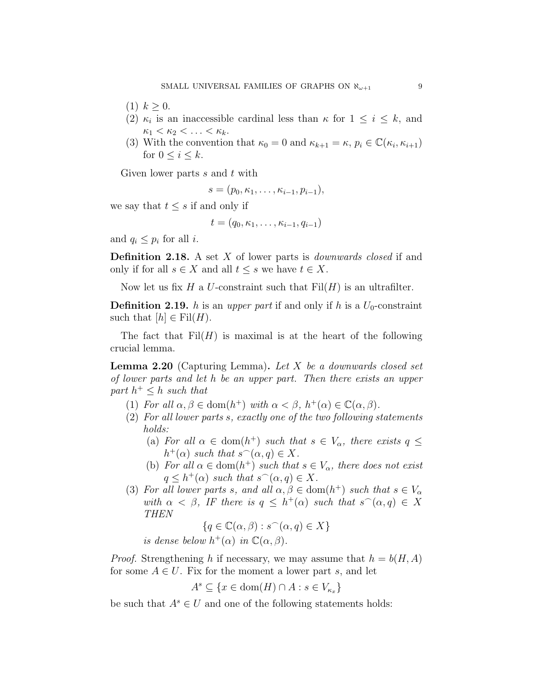- $(1)$   $k > 0$ .
- (2)  $\kappa_i$  is an inaccessible cardinal less than  $\kappa$  for  $1 \leq i \leq k$ , and  $\kappa_1 < \kappa_2 < \ldots < \kappa_k$ .
- (3) With the convention that  $\kappa_0 = 0$  and  $\kappa_{k+1} = \kappa$ ,  $p_i \in \mathbb{C}(\kappa_i, \kappa_{i+1})$ for  $0 \leq i \leq k$ .

Given lower parts  $s$  and  $t$  with

$$
s=(p_0,\kappa_1,\ldots,\kappa_{i-1},p_{i-1}),
$$

we say that  $t \leq s$  if and only if

$$
t=(q_0,\kappa_1,\ldots,\kappa_{i-1},q_{i-1})
$$

and  $q_i \leq p_i$  for all *i*.

**Definition 2.18.** A set  $X$  of lower parts is *downwards closed* if and only if for all  $s \in X$  and all  $t \leq s$  we have  $t \in X$ .

Now let us fix H a U-constraint such that  $Fil(H)$  is an ultrafilter.

**Definition 2.19.** h is an upper part if and only if h is a  $U_0$ -constraint such that  $[h] \in \text{Fil}(H)$ .

The fact that  $Fil(H)$  is maximal is at the heart of the following crucial lemma.

<span id="page-8-0"></span>**Lemma 2.20** (Capturing Lemma). Let  $X$  be a downwards closed set of lower parts and let h be an upper part. Then there exists an upper part  $h^+ \leq h$  such that

- (1) For all  $\alpha, \beta \in \text{dom}(h^+)$  with  $\alpha < \beta$ ,  $h^+(\alpha) \in \mathbb{C}(\alpha, \beta)$ .
- (2) For all lower parts s, exactly one of the two following statements holds:
	- (a) For all  $\alpha \in \text{dom}(h^+)$  such that  $s \in V_\alpha$ , there exists  $q \leq$  $h^+(\alpha)$  such that  $s^(\alpha, q) \in X$ .
	- (b) For all  $\alpha \in \text{dom}(h^+)$  such that  $s \in V_\alpha$ , there does not exist  $q \leq h^+(\alpha)$  such that  $s^(\alpha, q) \in X$ .
- (3) For all lower parts s, and all  $\alpha, \beta \in \text{dom}(h^+)$  such that  $s \in V_\alpha$ with  $\alpha < \beta$ , IF there is  $q \leq h^+(\alpha)$  such that  $s^(\alpha, q) \in X$ THEN

$$
\{q \in \mathbb{C}(\alpha, \beta) : s^-(\alpha, q) \in X\}
$$
  
is dense below  $h^+(\alpha)$  in  $\mathbb{C}(\alpha, \beta)$ .

*Proof.* Strengthening h if necessary, we may assume that  $h = b(H, A)$ for some  $A \in U$ . Fix for the moment a lower part s, and let

$$
A^s \subseteq \{ x \in \text{dom}(H) \cap A : s \in V_{\kappa_x} \}
$$

be such that  $A^s \in U$  and one of the following statements holds: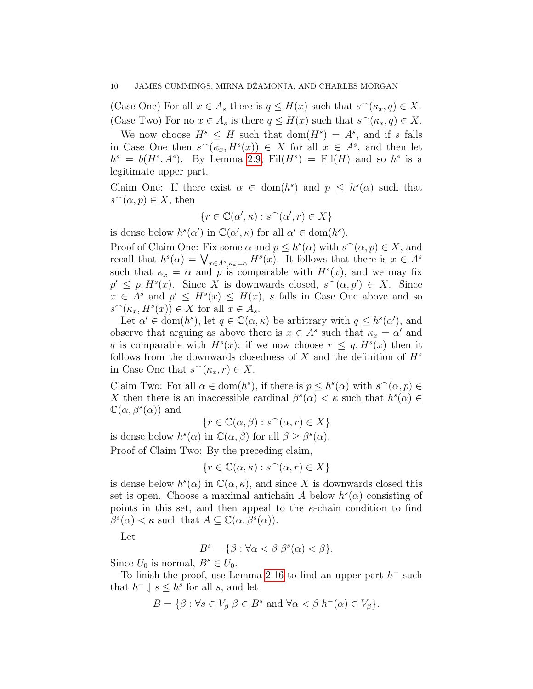(Case One) For all  $x \in A_s$  there is  $q \leq H(x)$  such that  $s^\frown(\kappa_x, q) \in X$ . (Case Two) For no  $x \in A_s$  is there  $q \leq H(x)$  such that  $s^\frown(\kappa_x, q) \in X$ .

We now choose  $H^s \leq H$  such that  $dom(H^s) = A^s$ , and if s falls in Case One then  $s^{\frown}(k_x, H^s(x)) \in X$  for all  $x \in A^s$ , and then let  $h^s = b(H^s, A^s)$ . By Lemma [2.9,](#page-5-1) Fil $(H^s) =$  Fil $(H)$  and so  $h^s$  is a legitimate upper part.

Claim One: If there exist  $\alpha \in \text{dom}(h^s)$  and  $p \leq h^s(\alpha)$  such that  $s^{\frown}(\alpha, p) \in X$ , then

$$
\{r \in \mathbb{C}(\alpha', \kappa) : s^{\frown}(\alpha', r) \in X\}
$$

is dense below  $h^s(\alpha')$  in  $\mathbb{C}(\alpha', \kappa)$  for all  $\alpha' \in \text{dom}(h^s)$ .

Proof of Claim One: Fix some  $\alpha$  and  $p \leq h^{s}(\alpha)$  with  $s^{\frown}(\alpha, p) \in X$ , and recall that  $h^s(\alpha) = \bigvee_{x \in A^s, \kappa_x = \alpha} H^s(x)$ . It follows that there is  $x \in A^s$ such that  $\kappa_x = \alpha$  and p is comparable with  $H^s(x)$ , and we may fix  $p' \leq p, H^s(x)$ . Since X is downwards closed,  $s^{\frown}(\alpha, p') \in X$ . Since  $x \in A^s$  and  $p' \leq H^s(x) \leq H(x)$ , s falls in Case One above and so  $s^{\frown}(\kappa_x, H^s(x)) \in X$  for all  $x \in A_s$ .

Let  $\alpha' \in \text{dom}(h^s)$ , let  $q \in \mathbb{C}(\alpha, \kappa)$  be arbitrary with  $q \leq h^s(\alpha')$ , and observe that arguing as above there is  $x \in A^s$  such that  $\kappa_x = \alpha'$  and q is comparable with  $H^s(x)$ ; if we now choose  $r \leq q$ ,  $H^s(x)$  then it follows from the downwards closedness of  $X$  and the definition of  $H^s$ in Case One that  $s^{\frown}(\kappa_x, r) \in X$ .

Claim Two: For all  $\alpha \in \text{dom}(h^s)$ , if there is  $p \leq h^s(\alpha)$  with  $s^(\alpha, p) \in$ X then there is an inaccessible cardinal  $\beta^{s}(\alpha) < \kappa$  such that  $h^{s}(\alpha) \in$  $\mathbb{C}(\alpha,\beta^s(\alpha))$  and

 $\{r \in \mathbb{C}(\alpha, \beta) : s^{\frown}(\alpha, r) \in X\}$ 

is dense below  $h^{s}(\alpha)$  in  $\mathbb{C}(\alpha,\beta)$  for all  $\beta \geq \beta^{s}(\alpha)$ .

Proof of Claim Two: By the preceding claim,

$$
\{r \in \mathbb{C}(\alpha, \kappa) : s^{\frown}(\alpha, r) \in X\}
$$

is dense below  $h^{s}(\alpha)$  in  $\mathbb{C}(\alpha,\kappa)$ , and since X is downwards closed this set is open. Choose a maximal antichain A below  $h^s(\alpha)$  consisting of points in this set, and then appeal to the  $\kappa$ -chain condition to find  $\beta^{s}(\alpha) < \kappa$  such that  $A \subseteq \mathbb{C}(\alpha, \beta^{s}(\alpha)).$ 

Let

$$
B^s = \{ \beta : \forall \alpha < \beta \; \beta^s(\alpha) < \beta \}.
$$

Since  $U_0$  is normal,  $B^s \in U_0$ .

To finish the proof, use Lemma [2.16](#page-7-0) to find an upper part  $h^-$  such that  $h^- \downharpoonright s \leq h^s$  for all s, and let

$$
B = \{ \beta : \forall s \in V_{\beta} \; \beta \in B^s \text{ and } \forall \alpha < \beta \; h^{-}(\alpha) \in V_{\beta} \}.
$$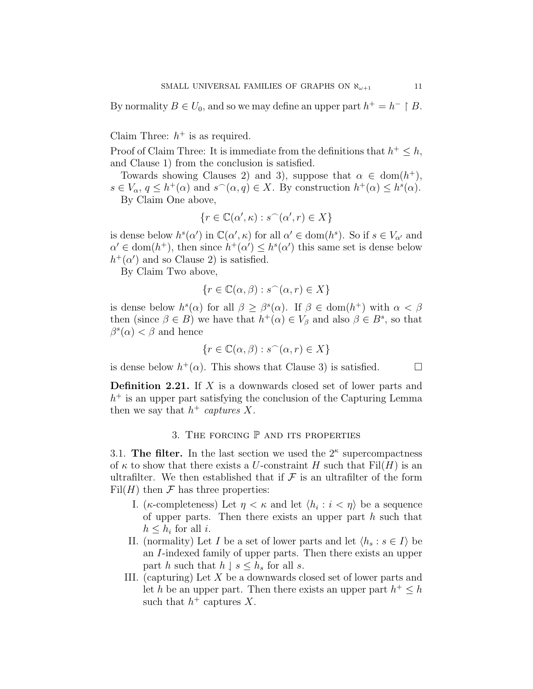By normality  $B \in U_0$ , and so we may define an upper part  $h^+ = h^- \upharpoonright B$ .

Claim Three:  $h^+$  is as required.

Proof of Claim Three: It is immediate from the definitions that  $h^+ \leq h$ , and Clause 1) from the conclusion is satisfied.

Towards showing Clauses 2) and 3), suppose that  $\alpha \in \text{dom}(h^+),$  $s \in V_\alpha, q \leq h^+(\alpha)$  and  $s^\frown(\alpha, q) \in X$ . By construction  $h^+(\alpha) \leq h^s(\alpha)$ . By Claim One above,

$$
\{r \in \mathbb{C}(\alpha', \kappa) : s^{\frown}(\alpha', r) \in X\}
$$

is dense below  $h^{s}(\alpha')$  in  $\mathbb{C}(\alpha', \kappa)$  for all  $\alpha' \in \text{dom}(h^{s})$ . So if  $s \in V_{\alpha'}$  and  $\alpha' \in \text{dom}(h^+),$  then since  $h^+(\alpha') \leq h^s(\alpha')$  this same set is dense below  $h^+(\alpha)$  and so Clause 2) is satisfied.

By Claim Two above,

$$
\{r \in \mathbb{C}(\alpha, \beta) : s^{\frown}(\alpha, r) \in X\}
$$

is dense below  $h^{s}(\alpha)$  for all  $\beta \geq \beta^{s}(\alpha)$ . If  $\beta \in \text{dom}(h^{+})$  with  $\alpha < \beta$ then (since  $\beta \in B$ ) we have that  $h^+(\alpha) \in V_\beta$  and also  $\beta \in B^s$ , so that  $\beta^{s}(\alpha) < \beta$  and hence

$$
\{r \in \mathbb{C}(\alpha, \beta) : s^{\frown}(\alpha, r) \in X\}
$$

is dense below  $h^+(\alpha)$ . This shows that Clause 3) is satisfied.  $\square$ 

**Definition 2.21.** If  $X$  is a downwards closed set of lower parts and  $h<sup>+</sup>$  is an upper part satisfying the conclusion of the Capturing Lemma then we say that  $h^+$  captures X.

## 3. THE FORCING  $P$  and its properties

<span id="page-10-0"></span>3.1. The filter. In the last section we used the  $2^{\kappa}$  supercompactness of  $\kappa$  to show that there exists a U-constraint H such that Fil(H) is an ultrafilter. We then established that if  $\mathcal F$  is an ultrafilter of the form  $Fil(H)$  then  $\mathcal F$  has three properties:

- I. (*κ*-completeness) Let  $\eta < \kappa$  and let  $\langle h_i : i < \eta \rangle$  be a sequence of upper parts. Then there exists an upper part  $h$  such that  $h \leq h_i$  for all *i*.
- II. (normality) Let I be a set of lower parts and let  $\langle h_s : s \in I \rangle$  be an I-indexed family of upper parts. Then there exists an upper part h such that  $h \, | s \leq h_s$  for all s.
- III. (capturing) Let X be a downwards closed set of lower parts and let h be an upper part. Then there exists an upper part  $h^+ \leq h$ such that  $h^+$  captures X.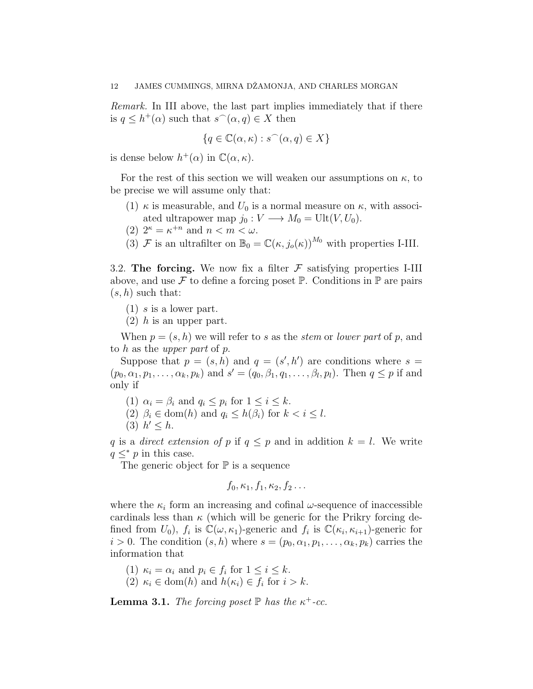Remark. In III above, the last part implies immediately that if there is  $q \leq h^+(\alpha)$  such that  $s^\frown(\alpha, q) \in X$  then

$$
\{q \in \mathbb{C}(\alpha, \kappa) : s^{\frown}(\alpha, q) \in X\}
$$

is dense below  $h^+(\alpha)$  in  $\mathbb{C}(\alpha,\kappa)$ .

For the rest of this section we will weaken our assumptions on  $\kappa$ , to be precise we will assume only that:

- (1)  $\kappa$  is measurable, and  $U_0$  is a normal measure on  $\kappa$ , with associated ultrapower map  $j_0 : V \longrightarrow M_0 = \text{Ult}(V, U_0).$
- (2)  $2^{\kappa} = \kappa^{+n}$  and  $n < m < \omega$ .
- (3) F is an ultrafilter on  $\mathbb{B}_0 = \mathbb{C}(\kappa, j_o(\kappa))^{M_0}$  with properties I-III.

3.2. The forcing. We now fix a filter  $\mathcal F$  satisfying properties I-III above, and use  $\mathcal F$  to define a forcing poset  $\mathbb P$ . Conditions in  $\mathbb P$  are pairs  $(s, h)$  such that:

 $(1)$  s is a lower part.

 $(2)$  h is an upper part.

When  $p = (s, h)$  we will refer to s as the stem or lower part of p, and to h as the upper part of  $p$ .

Suppose that  $p = (s, h)$  and  $q = (s', h')$  are conditions where  $s =$  $(p_0, \alpha_1, p_1, \ldots, \alpha_k, p_k)$  and  $s' = (q_0, \beta_1, q_1, \ldots, \beta_l, p_l)$ . Then  $q \leq p$  if and only if

(1)  $\alpha_i = \beta_i$  and  $q_i \leq p_i$  for  $1 \leq i \leq k$ .

- (2)  $\beta_i \in \text{dom}(h)$  and  $q_i \leq h(\beta_i)$  for  $k < i \leq l$ .
- (3)  $h' \leq h$ .

q is a direct extension of p if  $q \leq p$  and in addition  $k = l$ . We write  $q \leq^* p$  in this case.

The generic object for  $\mathbb P$  is a sequence

$$
f_0, \kappa_1, f_1, \kappa_2, f_2 \ldots
$$

where the  $\kappa_i$  form an increasing and cofinal  $\omega$ -sequence of inaccessible cardinals less than  $\kappa$  (which will be generic for the Prikry forcing defined from  $U_0$ ),  $f_i$  is  $\mathbb{C}(\omega,\kappa_1)$ -generic and  $f_i$  is  $\mathbb{C}(\kappa_i,\kappa_{i+1})$ -generic for  $i > 0$ . The condition  $(s, h)$  where  $s = (p_0, \alpha_1, p_1, \ldots, \alpha_k, p_k)$  carries the information that

(1)  $\kappa_i = \alpha_i$  and  $p_i \in f_i$  for  $1 \leq i \leq k$ . (2)  $\kappa_i \in \text{dom}(h)$  and  $h(\kappa_i) \in f_i$  for  $i > k$ .

<span id="page-11-0"></span>**Lemma 3.1.** The forcing poset  $\mathbb P$  has the  $\kappa^+$ -cc.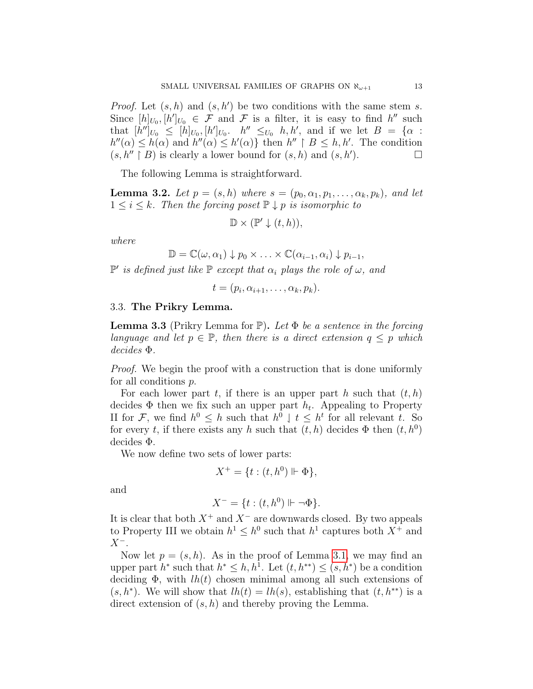*Proof.* Let  $(s, h)$  and  $(s, h')$  be two conditions with the same stem s. Since  $[h]_{U_0}, [h']_{U_0} \in \mathcal{F}$  and  $\mathcal{F}$  is a filter, it is easy to find  $h''$  such that  $[h'']_{U_0} \leq [h]_{U_0}, [h']_{U_0}.$   $h'' \leq_{U_0} h, h'$ , and if we let  $B = {\alpha :$  $h''(\alpha) \leq h(\alpha)$  and  $h''(\alpha) \leq h'(\alpha)$  then  $h'' \upharpoonright B \leq h, h'$ . The condition  $(s, h'' \upharpoonright B)$  is clearly a lower bound for  $(s, h)$  and  $(s, h')$ .  $\Box$ 

The following Lemma is straightforward.

<span id="page-12-0"></span>**Lemma 3.2.** Let  $p = (s, h)$  where  $s = (p_0, \alpha_1, p_1, \ldots, \alpha_k, p_k)$ , and let  $1 \leq i \leq k$ . Then the forcing poset  $\mathbb{P} \downarrow p$  is isomorphic to

$$
\mathbb{D} \times (\mathbb{P}' \downarrow (t, h)),
$$

where

$$
\mathbb{D} = \mathbb{C}(\omega, \alpha_1) \downarrow p_0 \times \ldots \times \mathbb{C}(\alpha_{i-1}, \alpha_i) \downarrow p_{i-1},
$$

 $\mathbb{P}'$  is defined just like  $\mathbb P$  except that  $\alpha_i$  plays the role of  $\omega$ , and

$$
t=(p_i,\alpha_{i+1},\ldots,\alpha_k,p_k).
$$

### 3.3. The Prikry Lemma.

**Lemma 3.3** (Prikry Lemma for  $\mathbb{P}$ ). Let  $\Phi$  be a sentence in the forcing language and let  $p \in \mathbb{P}$ , then there is a direct extension  $q \leq p$  which decides Φ.

Proof. We begin the proof with a construction that is done uniformly for all conditions p.

For each lower part t, if there is an upper part h such that  $(t, h)$ decides  $\Phi$  then we fix such an upper part  $h_t$ . Appealing to Property II for F, we find  $h^0 \leq h$  such that  $h^0 \perp t \leq h^t$  for all relevant t. So for every t, if there exists any h such that  $(t, h)$  decides  $\Phi$  then  $(t, h^0)$ decides Φ.

We now define two sets of lower parts:

$$
X^+ = \{ t : (t, h^0) \Vdash \Phi \},
$$

and

$$
X^- = \{ t : (t, h^0) \Vdash \neg \Phi \}.
$$

It is clear that both  $X^+$  and  $X^-$  are downwards closed. By two appeals to Property III we obtain  $h^1 \leq h^0$  such that  $h^1$  captures both  $X^+$  and  $X^-$ .

Now let  $p = (s, h)$ . As in the proof of Lemma [3.1,](#page-11-0) we may find an upper part  $h^*$  such that  $h^* \leq h, h^1$ . Let  $(t, h^{**}) \leq (s, h^*)$  be a condition deciding  $\Phi$ , with  $lh(t)$  chosen minimal among all such extensions of  $(s, h^*)$ . We will show that  $lh(t) = lh(s)$ , establishing that  $(t, h^{**})$  is a direct extension of  $(s, h)$  and thereby proving the Lemma.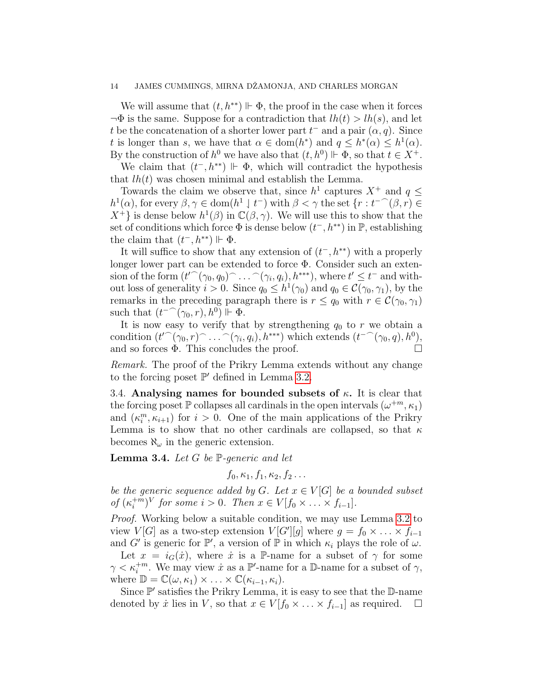We will assume that  $(t, h^{**}) \Vdash \Phi$ , the proof in the case when it forces  $\neg \Phi$  is the same. Suppose for a contradiction that  $lh(t) > lh(s)$ , and let t be the concatenation of a shorter lower part  $t^-$  and a pair  $(\alpha, q)$ . Since t is longer than s, we have that  $\alpha \in \text{dom}(h^*)$  and  $q \leq h^*(\alpha) \leq h^1(\alpha)$ . By the construction of  $h^0$  we have also that  $(t, h^0) \Vdash \Phi$ , so that  $t \in X^+$ .

We claim that  $(t^-, h^{**}) \Vdash \Phi$ , which will contradict the hypothesis that  $lh(t)$  was chosen minimal and establish the Lemma.

Towards the claim we observe that, since  $h^1$  captures  $X^+$  and  $q \leq$  $h^1(\alpha)$ , for every  $\beta, \gamma \in \text{dom}(h^1 \downarrow t^-)$  with  $\beta < \gamma$  the set  $\{r : t^{-}(\beta, r) \in$  $X^+$  is dense below  $h^1(\beta)$  in  $\mathbb{C}(\beta, \gamma)$ . We will use this to show that the set of conditions which force  $\Phi$  is dense below  $(t^-, h^{**})$  in  $\mathbb{P}$ , establishing the claim that  $(t^-, h^{**}) \Vdash \Phi$ .

It will suffice to show that any extension of  $(t<sup>-</sup>, h<sup>**</sup>)$  with a properly longer lower part can be extended to force Φ. Consider such an extension of the form  $(t'^\frown(\gamma_0,q_0)^\frown\ldots^\frown(\gamma_i,q_i),h^{***})$ , where  $t'\leq t^-$  and without loss of generality  $i > 0$ . Since  $q_0 \leq h^1(\gamma_0)$  and  $q_0 \in \mathcal{C}(\gamma_0, \gamma_1)$ , by the remarks in the preceding paragraph there is  $r \leq q_0$  with  $r \in \mathcal{C}(\gamma_0, \gamma_1)$ such that  $(t^{-}(\gamma_0,r), h^0)$   $\Vdash \Phi$ .

It is now easy to verify that by strengthening  $q_0$  to r we obtain a condition  $(t' \cap (\gamma_0, r) \cap ... \cap (\gamma_i, q_i), h^{***})$  which extends  $(t^{-} \cap (\gamma_0, q), h^0)$ , and so forces  $\Phi$ . This concludes the proof.

Remark. The proof of the Prikry Lemma extends without any change to the forcing poset  $\mathbb{P}'$  defined in Lemma [3.2.](#page-12-0)

3.4. Analysing names for bounded subsets of  $\kappa$ . It is clear that the forcing poset  $\mathbb P$  collapses all cardinals in the open intervals  $(\omega^{+m}, \kappa_1)$ and  $(\kappa_i^m, \kappa_{i+1})$  for  $i > 0$ . One of the main applications of the Prikry Lemma is to show that no other cardinals are collapsed, so that  $\kappa$ becomes  $\aleph_{\omega}$  in the generic extension.

<span id="page-13-0"></span>**Lemma 3.4.** Let  $G$  be  $\mathbb{P}$ -generic and let

 $f_0, \kappa_1, f_1, \kappa_2, f_2 \ldots$ 

be the generic sequence added by  $G$ . Let  $x \in V[G]$  be a bounded subset of  $(\kappa_i^{+m})$  $i^{+m}$ <sup>V</sup> for some  $i > 0$ . Then  $x \in V[f_0 \times \ldots \times f_{i-1}]$ .

Proof. Working below a suitable condition, we may use Lemma [3.2](#page-12-0) to view  $V[G]$  as a two-step extension  $V[G'][g]$  where  $g = f_0 \times \ldots \times f_{i-1}$ and G' is generic for  $\mathbb{P}',$  a version of  $\mathbb{P}$  in which  $\kappa_i$  plays the role of  $\omega$ .

Let  $x = i_G(\dot{x})$ , where  $\dot{x}$  is a P-name for a subset of  $\gamma$  for some  $\gamma < \kappa_i^{+m}$ . We may view  $\dot{x}$  as a  $\mathbb{P}'$ -name for a  $\mathbb{D}$ -name for a subset of  $\gamma$ , where  $\mathbb{D} = \mathbb{C}(\omega, \kappa_1) \times ... \times \mathbb{C}(\kappa_{i-1}, \kappa_i).$ 

Since  $\mathbb{P}'$  satisfies the Prikry Lemma, it is easy to see that the  $\mathbb{D}$ -name denoted by  $\dot{x}$  lies in V, so that  $x \in V[f_0 \times \ldots \times f_{i-1}]$  as required.  $\Box$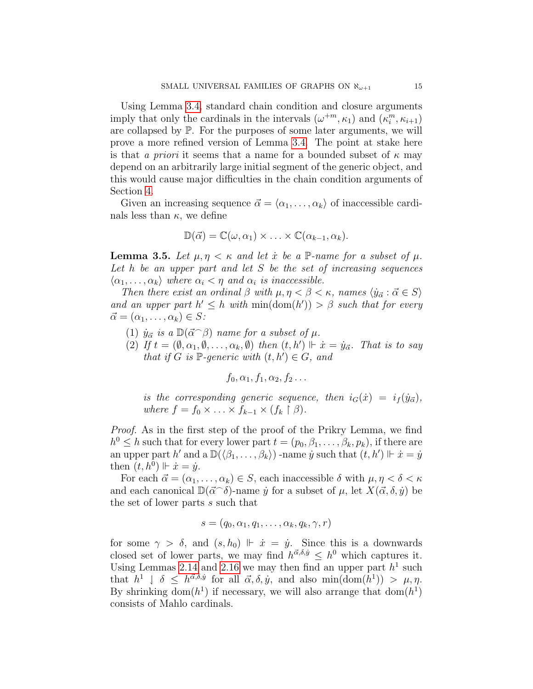Using Lemma [3.4,](#page-13-0) standard chain condition and closure arguments imply that only the cardinals in the intervals  $(\omega^{+m}, \kappa_1)$  and  $(\kappa_i^m, \kappa_{i+1})$ are collapsed by P. For the purposes of some later arguments, we will prove a more refined version of Lemma [3.4.](#page-13-0) The point at stake here is that a priori it seems that a name for a bounded subset of  $\kappa$  may depend on an arbitrarily large initial segment of the generic object, and this would cause major difficulties in the chain condition arguments of Section [4.](#page-17-0)

Given an increasing sequence  $\vec{\alpha} = \langle \alpha_1, \ldots, \alpha_k \rangle$  of inaccessible cardinals less than  $\kappa$ , we define

$$
\mathbb{D}(\vec{\alpha}) = \mathbb{C}(\omega, \alpha_1) \times \ldots \times \mathbb{C}(\alpha_{k-1}, \alpha_k).
$$

<span id="page-14-0"></span>**Lemma 3.5.** Let  $\mu, \eta < \kappa$  and let  $\dot{x}$  be a P-name for a subset of  $\mu$ . Let  $h$  be an upper part and let  $S$  be the set of increasing sequences  $\langle \alpha_1, \ldots, \alpha_k \rangle$  where  $\alpha_i < \eta$  and  $\alpha_i$  is inaccessible.

Then there exist an ordinal  $\beta$  with  $\mu, \eta < \beta < \kappa$ , names  $\langle \dot{y}_{\vec{\alpha}} : \vec{\alpha} \in S \rangle$ and an upper part  $h' \leq h$  with  $\min(\text{dom}(h')) > \beta$  such that for every  $\vec{\alpha} = (\alpha_1, \ldots, \alpha_k) \in S:$ 

- (1)  $\dot{y}_{\vec{\alpha}}$  is a  $\mathbb{D}(\vec{\alpha} \cap \beta)$  name for a subset of  $\mu$ .
- (2) If  $t=(\emptyset,\alpha_1,\emptyset,\ldots,\alpha_k,\emptyset)$  then  $(t,h')\Vdash \dot{x}=\dot{y}_{\vec{\alpha}}$ . That is to say that if G is  $\mathbb{P}$ -generic with  $(t, h') \in G$ , and

$$
f_0, \alpha_1, f_1, \alpha_2, f_2 \ldots
$$

is the corresponding generic sequence, then  $i_G(\dot x) = i_f(\dot y_{\vec\alpha}),$ where  $f = f_0 \times \ldots \times \tilde{f}_{k-1} \times (f_k \upharpoonright \beta)$ .

Proof. As in the first step of the proof of the Prikry Lemma, we find  $h^0 \leq h$  such that for every lower part  $t = (p_0, \beta_1, \dots, \beta_k, p_k)$ , if there are an upper part h' and a  $\mathbb{D}(\langle \beta_1,\ldots,\beta_k \rangle)$  -name  $\dot{y}$  such that  $(t, h') \Vdash \dot{x} = \dot{y}$ then  $(t, h^0)$   $\Vdash \dot{x} = \dot{y}$ .

For each  $\vec{\alpha} = (\alpha_1, \ldots, \alpha_k) \in S$ , each inaccessible  $\delta$  with  $\mu, \eta < \delta < \kappa$ and each canonical  $\mathbb{D}(\vec{\alpha}^{\frown}\delta)$ -name  $\dot{y}$  for a subset of  $\mu$ , let  $X(\vec{\alpha}, \delta, \dot{y})$  be the set of lower parts s such that

$$
s = (q_0, \alpha_1, q_1, \ldots, \alpha_k, q_k, \gamma, r)
$$

for some  $\gamma > \delta$ , and  $(s, h_0) \Vdash \dot{x} = \dot{y}$ . Since this is a downwards closed set of lower parts, we may find  $h^{\vec{\alpha},\delta,\dot{y}} \leq h^0$  which captures it. Using Lemmas [2.14](#page-7-1) and [2.16](#page-7-0) we may then find an upper part  $h<sup>1</sup>$  such that  $h^1 \perp \delta \leq h^{\vec{\alpha}, \delta, \dot{y}}$  for all  $\vec{\alpha}, \delta, \dot{y}$ , and also min $(\text{dom}(h^1)) > \mu, \eta$ . By shrinking dom $(h^1)$  if necessary, we will also arrange that dom $(h^1)$ consists of Mahlo cardinals.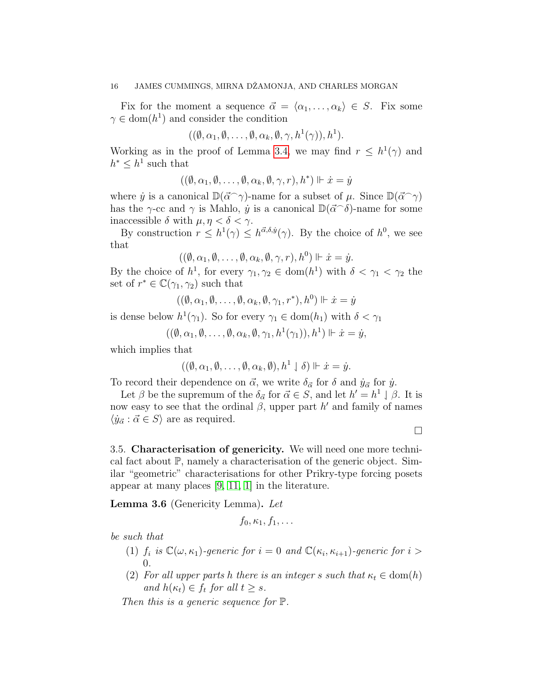Fix for the moment a sequence  $\vec{\alpha} = \langle \alpha_1, \ldots, \alpha_k \rangle \in S$ . Fix some  $\gamma \in \text{dom}(h^1)$  and consider the condition

$$
((\emptyset,\alpha_1,\emptyset,\ldots,\emptyset,\alpha_k,\emptyset,\gamma,h^1(\gamma)),h^1).
$$

Working as in the proof of Lemma [3.4,](#page-13-0) we may find  $r \leq h^{1}(\gamma)$  and  $h^* \leq h^1$  such that

$$
((\emptyset,\alpha_1,\emptyset,\ldots,\emptyset,\alpha_k,\emptyset,\gamma,r),h^*)\Vdash\dot x=\dot y
$$

where  $\dot{y}$  is a canonical  $\mathbb{D}(\vec{\alpha}^{\frown}\gamma)$ -name for a subset of  $\mu$ . Since  $\mathbb{D}(\vec{\alpha}^{\frown}\gamma)$ has the  $\gamma$ -cc and  $\gamma$  is Mahlo,  $\dot{y}$  is a canonical  $\mathbb{D}(\vec{\alpha}^{\frown}\delta)$ -name for some inaccessible  $\delta$  with  $\mu, \eta < \delta < \gamma$ .

By construction  $r \leq h^1(\gamma) \leq h^{\vec{\alpha},\delta,\dot{y}}(\gamma)$ . By the choice of  $h^0$ , we see that

$$
((\emptyset,\alpha_1,\emptyset,\ldots,\emptyset,\alpha_k,\emptyset,\gamma,r),h^0)\Vdash \dot{x}=\dot{y}.
$$

By the choice of  $h^1$ , for every  $\gamma_1, \gamma_2 \in \text{dom}(h^1)$  with  $\delta < \gamma_1 < \gamma_2$  the set of  $r^* \in \mathbb{C}(\gamma_1, \gamma_2)$  such that

$$
((\emptyset, \alpha_1, \emptyset, \ldots, \emptyset, \alpha_k, \emptyset, \gamma_1, r^*), h^0) \Vdash \dot{x} = \dot{y}
$$

is dense below  $h^1(\gamma_1)$ . So for every  $\gamma_1 \in \text{dom}(h_1)$  with  $\delta < \gamma_1$ 

$$
((\emptyset, \alpha_1, \emptyset, \ldots, \emptyset, \alpha_k, \emptyset, \gamma_1, h^1(\gamma_1)), h^1) \Vdash \dot{x} = \dot{y},
$$

which implies that

$$
((\emptyset,\alpha_1,\emptyset,\ldots,\emptyset,\alpha_k,\emptyset),h^1\downarrow\delta)\Vdash \dot{x}=\dot{y}.
$$

To record their dependence on  $\vec{\alpha}$ , we write  $\delta_{\vec{\alpha}}$  for  $\delta$  and  $\dot{y}_{\vec{\alpha}}$  for  $\dot{y}$ .

Let  $\beta$  be the supremum of the  $\delta_{\vec{\alpha}}$  for  $\vec{\alpha} \in S$ , and let  $h' = h^1 \downarrow \beta$ . It is now easy to see that the ordinal  $\beta$ , upper part h' and family of names  $\langle \dot{y}_{\vec{\alpha}} : \vec{\alpha} \in S \rangle$  are as required.

 $\Box$ 

3.5. Characterisation of genericity. We will need one more technical fact about P, namely a characterisation of the generic object. Similar "geometric" characterisations for other Prikry-type forcing posets appear at many places [\[9,](#page-34-7) [11,](#page-34-8) [1\]](#page-33-2) in the literature.

<span id="page-15-0"></span>Lemma 3.6 (Genericity Lemma). Let

$$
f_0, \kappa_1, f_1, \ldots
$$

be such that

- (1)  $f_i$  is  $\mathbb{C}(\omega,\kappa_1)$ -generic for  $i=0$  and  $\mathbb{C}(\kappa_i,\kappa_{i+1})$ -generic for  $i>$ 0.
- (2) For all upper parts h there is an integer s such that  $\kappa_t \in \text{dom}(h)$ and  $h(\kappa_t) \in f_t$  for all  $t \geq s$ .

Then this is a generic sequence for  $\mathbb{P}$ .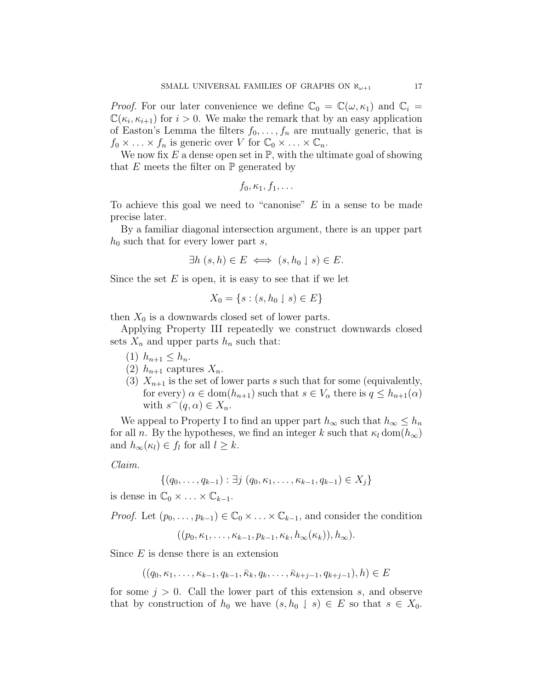*Proof.* For our later convenience we define  $\mathbb{C}_0 = \mathbb{C}(\omega, \kappa_1)$  and  $\mathbb{C}_i =$  $\mathbb{C}(\kappa_i, \kappa_{i+1})$  for  $i > 0$ . We make the remark that by an easy application of Easton's Lemma the filters  $f_0, \ldots, f_n$  are mutually generic, that is  $f_0 \times \ldots \times f_n$  is generic over V for  $\mathbb{C}_0 \times \ldots \times \mathbb{C}_n$ .

We now fix E a dense open set in  $\mathbb{P}$ , with the ultimate goal of showing that E meets the filter on  $\mathbb P$  generated by

$$
f_0, \kappa_1, f_1, \ldots
$$

To achieve this goal we need to "canonise"  $E$  in a sense to be made precise later.

By a familiar diagonal intersection argument, there is an upper part  $h_0$  such that for every lower part s,

$$
\exists h\ (s,h)\in E \iff (s,h_0\downharpoonleft s)\in E.
$$

Since the set  $E$  is open, it is easy to see that if we let

$$
X_0 = \{ s : (s, h_0 \downharpoonleft s) \in E \}
$$

then  $X_0$  is a downwards closed set of lower parts.

Applying Property III repeatedly we construct downwards closed sets  $X_n$  and upper parts  $h_n$  such that:

- (1)  $h_{n+1} \leq h_n$ .
- (2)  $h_{n+1}$  captures  $X_n$ .
- (3)  $X_{n+1}$  is the set of lower parts s such that for some (equivalently, for every)  $\alpha \in \text{dom}(h_{n+1})$  such that  $s \in V_\alpha$  there is  $q \leq h_{n+1}(\alpha)$ with  $s^{\frown}(q, \alpha) \in X_n$ .

We appeal to Property I to find an upper part  $h_{\infty}$  such that  $h_{\infty} \leq h_n$ for all n. By the hypotheses, we find an integer k such that  $\kappa_l$  dom $(h_{\infty})$ and  $h_{\infty}(\kappa_l) \in f_l$  for all  $l \geq k$ .

Claim.

$$
\{(q_0, \ldots, q_{k-1}) : \exists j \ (q_0, \kappa_1, \ldots, \kappa_{k-1}, q_{k-1}) \in X_j\}
$$

is dense in  $\mathbb{C}_0 \times \ldots \times \mathbb{C}_{k-1}$ .

*Proof.* Let  $(p_0, \ldots, p_{k-1}) \in \mathbb{C}_0 \times \ldots \times \mathbb{C}_{k-1}$ , and consider the condition

$$
((p_0, \kappa_1, \ldots, \kappa_{k-1}, p_{k-1}, \kappa_k, h_{\infty}(\kappa_k)), h_{\infty}).
$$

Since  $E$  is dense there is an extension

$$
((q_0, \kappa_1, \ldots, \kappa_{k-1}, q_{k-1}, \bar{\kappa}_k, q_k, \ldots, \bar{\kappa}_{k+j-1}, q_{k+j-1}), h) \in E
$$

for some  $j > 0$ . Call the lower part of this extension s, and observe that by construction of  $h_0$  we have  $(s, h_0 \mid s) \in E$  so that  $s \in X_0$ .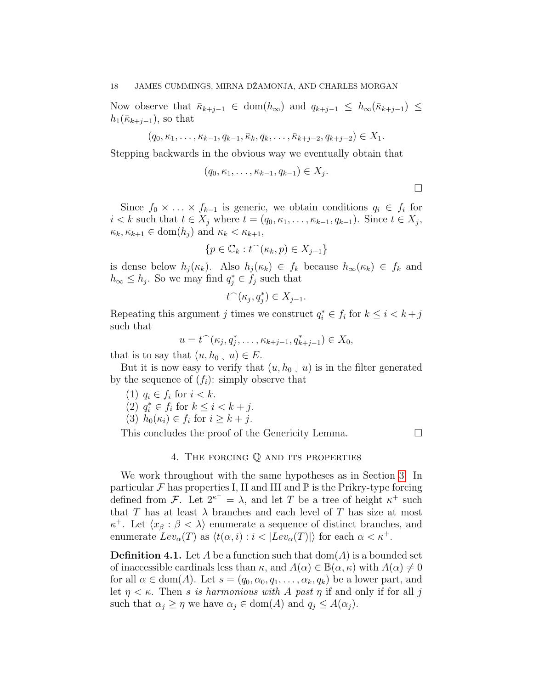Now observe that  $\bar{\kappa}_{k+j-1} \in \text{dom}(h_{\infty})$  and  $q_{k+j-1} \leq h_{\infty}(\bar{\kappa}_{k+j-1}) \leq$  $h_1(\bar{\kappa}_{k+j-1}),$  so that

 $(q_0, \kappa_1, \ldots, \kappa_{k-1}, q_{k-1}, \bar{\kappa}_k, q_k, \ldots, \bar{\kappa}_{k+i-2}, q_{k+i-2}) \in X_1$ .

Stepping backwards in the obvious way we eventually obtain that

$$
(q_0, \kappa_1, \ldots, \kappa_{k-1}, q_{k-1}) \in X_j.
$$

 $\Box$ 

Since  $f_0 \times \ldots \times f_{k-1}$  is generic, we obtain conditions  $q_i \in f_i$  for  $i < k$  such that  $t \in X_j$  where  $t = (q_0, \kappa_1, \ldots, \kappa_{k-1}, q_{k-1})$ . Since  $t \in X_j$ ,  $\kappa_k, \kappa_{k+1} \in \text{dom}(h_i)$  and  $\kappa_k < \kappa_{k+1}$ ,

$$
\{p \in \mathbb{C}_k : t^-(\kappa_k, p) \in X_{j-1}\}
$$

is dense below  $h_j(\kappa_k)$ . Also  $h_j(\kappa_k) \in f_k$  because  $h_\infty(\kappa_k) \in f_k$  and  $h_{\infty} \leq h_j$ . So we may find  $q_j^* \in f_j$  such that

$$
t^\frown(\kappa_j,q_j^*)\in X_{j-1}.
$$

Repeating this argument j times we construct  $q_i^* \in f_i$  for  $k \leq i < k + j$ such that

$$
u = t^{\frown}(\kappa_j, q_j^*, \dots, \kappa_{k+j-1}, q_{k+j-1}^*) \in X_0,
$$

that is to say that  $(u, h_0 \downarrow u) \in E$ .

But it is now easy to verify that  $(u, h_0 \mid u)$  is in the filter generated by the sequence of  $(f_i)$ : simply observe that

(1)  $q_i \in f_i$  for  $i < k$ .

(2) 
$$
q_i^* \in f_i
$$
 for  $k \leq i < k + j$ .

(3) 
$$
h_0(\kappa_i) \in f_i
$$
 for  $i \geq k + j$ .

This concludes the proof of the Genericity Lemma.

## 4. The forcing Q and its properties

<span id="page-17-0"></span>We work throughout with the same hypotheses as in Section [3.](#page-10-0) In particular  $\mathcal F$  has properties I, II and III and  $\mathbb P$  is the Prikry-type forcing defined from F. Let  $2^{\kappa^+} = \lambda$ , and let T be a tree of height  $\kappa^+$  such that T has at least  $\lambda$  branches and each level of T has size at most  $\kappa^+$ . Let  $\langle x_\beta : \beta < \lambda \rangle$  enumerate a sequence of distinct branches, and enumerate  $Lev_\alpha(T)$  as  $\langle t(\alpha, i) : i < |Lev_\alpha(T)| \rangle$  for each  $\alpha < \kappa^+$ .

**Definition 4.1.** Let A be a function such that  $dom(A)$  is a bounded set of inaccessible cardinals less than  $\kappa$ , and  $A(\alpha) \in \mathbb{B}(\alpha, \kappa)$  with  $A(\alpha) \neq 0$ for all  $\alpha \in \text{dom}(A)$ . Let  $s = (q_0, \alpha_0, q_1, \ldots, \alpha_k, q_k)$  be a lower part, and let  $\eta < \kappa$ . Then s is harmonious with A past  $\eta$  if and only if for all j such that  $\alpha_j \geq \eta$  we have  $\alpha_j \in \text{dom}(A)$  and  $q_j \leq A(\alpha_j)$ .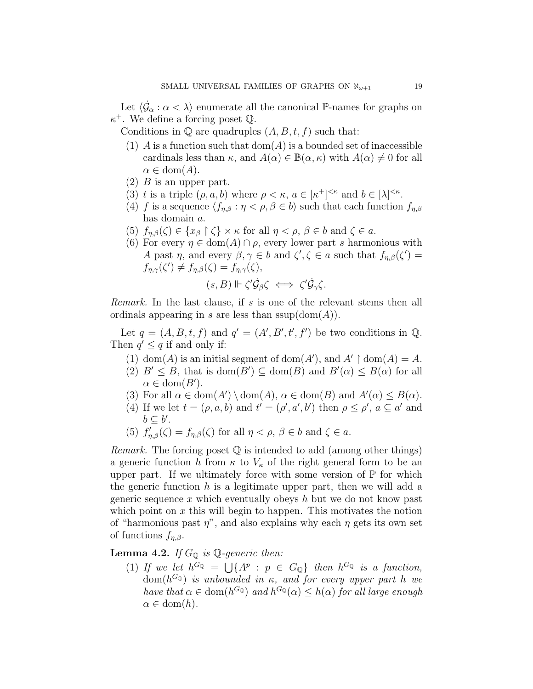Let  $\langle \dot{\mathcal{G}}_{\alpha} : \alpha \langle \lambda \rangle$  enumerate all the canonical P-names for graphs on  $\kappa^+$ . We define a forcing poset Q.

Conditions in  $\mathbb Q$  are quadruples  $(A, B, t, f)$  such that:

- (1) A is a function such that  $dom(A)$  is a bounded set of inaccessible cardinals less than  $\kappa$ , and  $A(\alpha) \in \mathbb{B}(\alpha, \kappa)$  with  $A(\alpha) \neq 0$  for all  $\alpha \in \text{dom}(A)$ .
- $(2)$  B is an upper part.
- (3) t is a triple  $(\rho, a, b)$  where  $\rho < \kappa$ ,  $a \in [\kappa^+]^{<\kappa}$  and  $b \in [\lambda]^{<\kappa}$ .
- (4) f is a sequence  $\langle f_{\eta,\beta} : \eta < \rho, \beta \in b \rangle$  such that each function  $f_{\eta,\beta}$ has domain a.
- (5)  $f_{\eta,\beta}(\zeta) \in \{x_\beta \restriction \zeta\} \times \kappa$  for all  $\eta < \rho, \beta \in b$  and  $\zeta \in a$ .
- <span id="page-18-0"></span>(6) For every  $\eta \in \text{dom}(A) \cap \rho$ , every lower part s harmonious with A past  $\eta$ , and every  $\beta, \gamma \in b$  and  $\zeta', \zeta \in a$  such that  $f_{\eta,\beta}(\zeta') =$  $f_{\eta,\gamma}(\zeta') \neq f_{\eta,\beta}(\zeta) = f_{\eta,\gamma}(\zeta),$

$$
(s,B)\Vdash \zeta'\dot{\mathcal{G}}_{\beta}\zeta \iff \zeta'\dot{\mathcal{G}}_{\gamma}\zeta.
$$

Remark. In the last clause, if s is one of the relevant stems then all ordinals appearing in s are less than  $\text{ssup}(\text{dom}(A)).$ 

Let  $q = (A, B, t, f)$  and  $q' = (A', B', t', f')$  be two conditions in Q. Then  $q' \leq q$  if and only if:

- (1) dom(A) is an initial segment of dom(A'), and  $A' \restriction$  dom(A) = A.
- (2)  $B' \leq B$ , that is dom( $B' \subseteq \text{dom}(B)$  and  $B'(\alpha) \leq B(\alpha)$  for all  $\alpha \in \text{dom}(B')$ .
- (3) For all  $\alpha \in \text{dom}(A') \setminus \text{dom}(A), \alpha \in \text{dom}(B)$  and  $A'(\alpha) \leq B(\alpha)$ .
- (4) If we let  $t = (\rho, a, b)$  and  $t' = (\rho', a', b')$  then  $\rho \leq \rho', a \subseteq a'$  and  $b \subseteq b'$ .
- (5)  $f'_{\eta,\beta}(\zeta) = f_{\eta,\beta}(\zeta)$  for all  $\eta < \rho, \beta \in b$  and  $\zeta \in a$ .

*Remark.* The forcing poset  $\mathbb Q$  is intended to add (among other things) a generic function h from  $\kappa$  to  $V_{\kappa}$  of the right general form to be an upper part. If we ultimately force with some version of  $\mathbb P$  for which the generic function  $h$  is a legitimate upper part, then we will add a generic sequence x which eventually obeys  $h$  but we do not know past which point on  $x$  this will begin to happen. This motivates the notion of "harmonious past  $\eta$ ", and also explains why each  $\eta$  gets its own set of functions  $f_{n,\beta}$ .

<span id="page-18-1"></span>**Lemma 4.2.** If  $G_{\mathbb{Q}}$  is  $\mathbb{Q}$ -generic then:

(1) If we let  $h^{G_Q} = \bigcup \{ A^p : p \in G_Q \}$  then  $h^{G_Q}$  is a function,  ${\rm dom}(h^{G_{\mathbb Q}})$  is unbounded in  $\kappa$ , and for every upper part h we have that  $\alpha \in \text{dom}(h^{G_{\mathbb{Q}}})$  and  $h^{G_{\mathbb{Q}}}(\alpha) \leq h(\alpha)$  for all large enough  $\alpha \in \text{dom}(h)$ .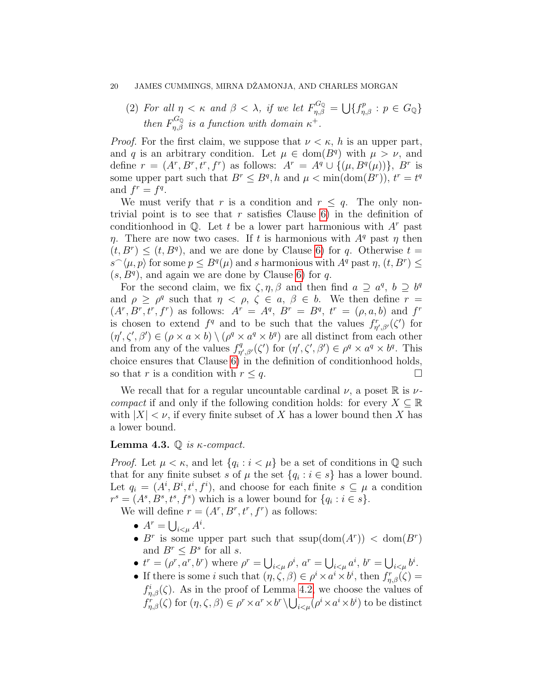(2) For all  $\eta < \kappa$  and  $\beta < \lambda$ , if we let  $F_{\eta,\beta}^{G_{\mathbb{Q}}} = \bigcup \{f_{\eta,\beta}^p : p \in G_{\mathbb{Q}}\}$ then  $F_{\eta,\beta}^{G_Q}$  is a function with domain  $\kappa^+$ .

*Proof.* For the first claim, we suppose that  $\nu < \kappa$ , h is an upper part, and q is an arbitrary condition. Let  $\mu \in \text{dom}(B^q)$  with  $\mu > \nu$ , and define  $r = (A^r, B^r, t^r, f^r)$  as follows:  $A^r = A^q \cup \{(\mu, B^q(\mu))\}, B^r$  is some upper part such that  $B^r \leq B^q$ , h and  $\mu < \min(\text{dom}(B^r))$ ,  $t^r = t^q$ and  $f^r = f^q$ .

We must verify that r is a condition and  $r \leq q$ . The only nontrivial point is to see that  $r$  satisfies Clause [6\)](#page-18-0) in the definition of conditionhood in  $\mathbb Q$ . Let t be a lower part harmonious with  $A^r$  past η. There are now two cases. If t is harmonious with  $A<sup>q</sup>$  past  $\eta$  then  $(t, B^r) \le (t, B^q)$ , and we are done by Clause [6\)](#page-18-0) for q. Otherwise  $t =$  $s^{\frown}\langle\mu,p\rangle$  for some  $p\leq B^{q}(\mu)$  and s harmonious with  $A^{q}$  past  $\eta, (t, B^{r}) \leq$  $(s, B<sup>q</sup>)$ , and again we are done by Clause [6\)](#page-18-0) for q.

For the second claim, we fix  $\zeta$ ,  $\eta$ ,  $\beta$  and then find  $a \supseteq a^q$ ,  $b \supseteq b^q$ and  $\rho \geq \rho^q$  such that  $\eta < \rho, \zeta \in a, \beta \in b$ . We then define  $r =$  $(A^r, B^r, t^r, f^r)$  as follows:  $A^r = A^q$ ,  $B^r = B^q$ ,  $t^r = (\rho, a, b)$  and  $f^r$ is chosen to extend  $f^q$  and to be such that the values  $f^r_{\eta',\beta'}(\zeta')$  for  $(\eta', \zeta', \beta') \in (\rho \times a \times b) \setminus (\rho^q \times a^q \times b^q)$  are all distinct from each other and from any of the values  $f_n^q$  $\eta'_{\eta',\beta'}(\zeta')$  for  $(\eta',\zeta',\beta') \in \rho^q \times a^q \times b^q$ . This choice ensures that Clause [6\)](#page-18-0) in the definition of conditionhood holds, so that r is a condition with  $r \leq q$ .

We recall that for a regular uncountable cardinal  $\nu$ , a poset  $\mathbb R$  is  $\nu$ . compact if and only if the following condition holds: for every  $X \subseteq \mathbb{R}$ with  $|X| < \nu$ , if every finite subset of X has a lower bound then X has a lower bound.

### <span id="page-19-0"></span>Lemma 4.3.  $\mathbb{Q}$  is  $\kappa$ -compact.

*Proof.* Let  $\mu < \kappa$ , and let  $\{q_i : i < \mu\}$  be a set of conditions in  $\mathbb Q$  such that for any finite subset s of  $\mu$  the set  $\{q_i : i \in s\}$  has a lower bound. Let  $q_i = (A^i, B^i, t^i, f^i)$ , and choose for each finite  $s \subseteq \mu$  a condition  $r^s = (A^s, B^s, t^s, f^s)$  which is a lower bound for  $\{q_i : i \in s\}.$ 

We will define  $r = (A^r, B^r, t^r, f^r)$  as follows:

- $A^r = \bigcup_{i < \mu} A^i$ .
- B<sup>r</sup> is some upper part such that  $\text{ssup}(\text{dom}(A^r)) < \text{dom}(B^r)$ and  $B^r \leq B^s$  for all s.
- $t^r = (\rho^r, a^r, b^r)$  where  $\rho^r = \bigcup_{i < \mu} \rho^i$ ,  $a^r = \bigcup_{i < \mu} a^i$ ,  $b^r = \bigcup_{i < \mu} b^i$ .
- If there is some *i* such that  $(\eta, \zeta, \beta) \in \rho^i \times a^i \times b^i$ , then  $f_{\eta, \beta}^r(\zeta) =$  $f_{\eta,\beta}^i(\zeta)$ . As in the proof of Lemma [4.2,](#page-18-1) we choose the values of  $f_{\eta,\beta}^r(\zeta)$  for  $(\eta,\zeta,\beta) \in \rho^r \times a^r \times b^r \setminus \bigcup_{i \leq \mu} (\rho^i \times a^i \times b^i)$  to be distinct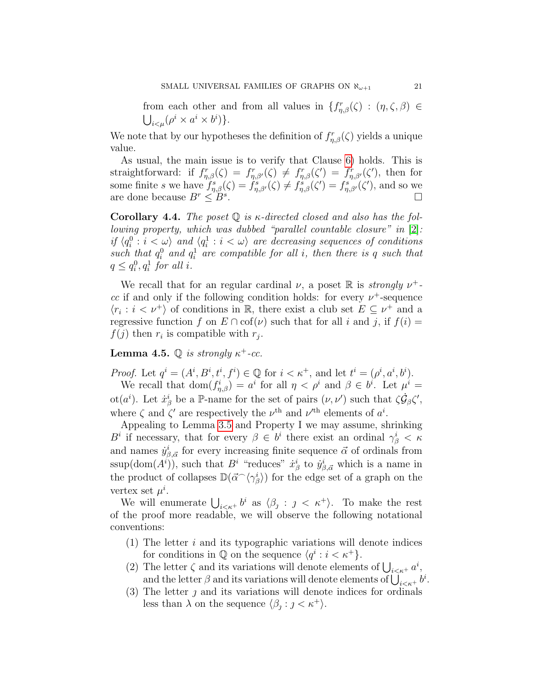from each other and from all values in  $\{f_{\eta,\beta}^r(\zeta) : (\eta,\zeta,\beta) \in$  $\bigcup_{i<\mu} (\rho^i \times a^i \times b^i)\}.$ 

We note that by our hypotheses the definition of  $f_{\eta,\beta}^r(\zeta)$  yields a unique value.

As usual, the main issue is to verify that Clause [6\)](#page-18-0) holds. This is straightforward: if  $f_{\eta,\beta}^r(\zeta) = f_{\eta,\beta'}^r(\zeta) \neq f_{\eta,\beta}^r(\zeta') = f_{\eta,\beta'}^r(\zeta')$ , then for some finite s we have  $f_{\eta,\beta}^s(\zeta) = f_{\eta,\beta'}^s(\zeta) \neq f_{\eta,\beta}^s(\zeta') = f_{\eta,\beta'}^s(\zeta')$ , and so we are done because  $B^r \leq B^s$ .  $\Box$ 

<span id="page-20-0"></span>Corollary 4.4. The poset  $\mathbb Q$  is  $\kappa$ -directed closed and also has the fol-lowing property, which was dubbed "parallel countable closure" in [\[2\]](#page-33-0): if  $\langle q_i^0 : i < \omega \rangle$  and  $\langle q_i^1 : i < \omega \rangle$  are decreasing sequences of conditions such that  $q_i^0$  and  $q_i^1$  are compatible for all i, then there is q such that  $q \leq q_i^0, q_i^1$  for all i.

We recall that for an regular cardinal  $\nu$ , a poset R is *strongly*  $\nu^+$ cc if and only if the following condition holds: for every  $\nu^+$ -sequence  $\langle r_i : i < \nu^+ \rangle$  of conditions in R, there exist a club set  $E \subseteq \nu^+$  and a regressive function f on  $E \cap \text{cof}(\nu)$  such that for all i and j, if  $f(i) =$  $f(j)$  then  $r_i$  is compatible with  $r_j$ .

**Lemma 4.5.**  $\mathbb Q$  is strongly  $\kappa^+$ -cc.

*Proof.* Let  $q^i = (A^i, B^i, t^i, f^i) \in \mathbb{Q}$  for  $i < \kappa^+$ , and let  $t^i = (\rho^i, a^i, b^i)$ . We recall that  $dom(f_{\eta,\beta}^i) = a^i$  for all  $\eta < \rho^i$  and  $\beta \in b^i$ . Let  $\mu^i =$ ot(a<sup>i</sup>). Let  $\dot{x}^i_\beta$  be a P-name for the set of pairs  $(\nu, \nu')$  such that  $\zeta \dot{\mathcal{G}}_{\beta} \zeta'$ , where  $\zeta$  and  $\zeta'$  are respectively the  $\nu^{\text{th}}$  and  $\nu^{\text{th}}$  elements of  $a^i$ .

Appealing to Lemma [3.5](#page-14-0) and Property I we may assume, shrinking  $B^i$  if necessary, that for every  $\beta \in b^i$  there exist an ordinal  $\gamma^i_{\beta} < \kappa$ and names  $\dot{y}^i_{\beta,\vec{\alpha}}$  for every increasing finite sequence  $\vec{\alpha}$  of ordinals from ssup(dom( $A^i$ )), such that  $B^i$  "reduces"  $\dot{x}^i_\beta$  to  $\dot{y}^i_{\beta,\vec{\alpha}}$  which is a name in the product of collapses  $\mathbb{D}(\vec{\alpha}^{\frown}\langle\gamma^i_{\beta}\rangle)$  for the edge set of a graph on the vertex set  $\mu^i$ .

We will enumerate  $\bigcup_{i \leq \kappa^+} b^i$  as  $\langle \beta_j : j \leq \kappa^+ \rangle$ . To make the rest of the proof more readable, we will observe the following notational conventions:

- (1) The letter  $i$  and its typographic variations will denote indices for conditions in  $\mathbb Q$  on the sequence  $\langle q^i : i < \kappa^+ \rangle$ .
- (2) The letter  $\zeta$  and its variations will denote elements of  $\bigcup_{i \leq \kappa^+} a^i$ , and the letter  $\beta$  and its variations will denote elements of  $\bigcup_{i<\kappa^+} b^i$ .
- (3) The letter  $\jmath$  and its variations will denote indices for ordinals less than  $\lambda$  on the sequence  $\langle \beta_j : j < \kappa^+ \rangle$ .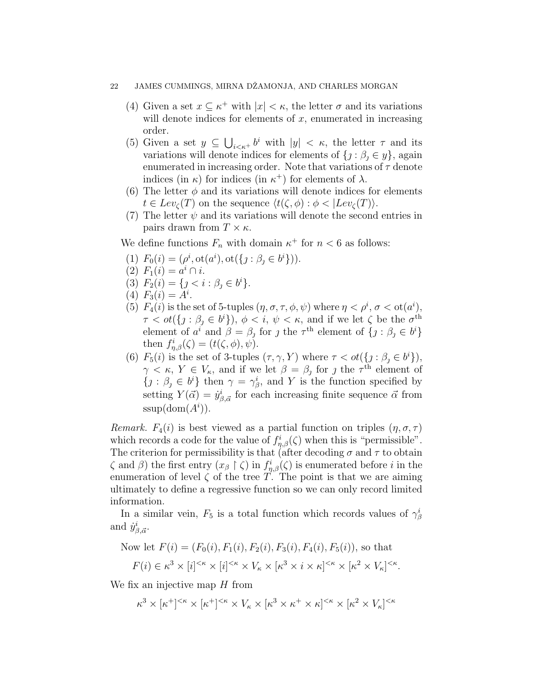- (4) Given a set  $x \subseteq \kappa^+$  with  $|x| < \kappa$ , the letter  $\sigma$  and its variations will denote indices for elements of  $x$ , enumerated in increasing order.
- (5) Given a set  $y \subseteq \bigcup_{i \leq \kappa^+} b^i$  with  $|y| < \kappa$ , the letter  $\tau$  and its variations will denote indices for elements of  $\{j : \beta_j \in y\}$ , again enumerated in increasing order. Note that variations of  $\tau$  denote indices (in  $\kappa$ ) for indices (in  $\kappa^+$ ) for elements of  $\lambda$ .
- (6) The letter  $\phi$  and its variations will denote indices for elements  $t \in Lev_{\mathcal{C}}(T)$  on the sequence  $\langle t(\zeta, \phi) : \phi < |Lev_{\zeta}(T)\rangle$ .
- (7) The letter  $\psi$  and its variations will denote the second entries in pairs drawn from  $T \times \kappa$ .

We define functions  $F_n$  with domain  $\kappa^+$  for  $n < 6$  as follows:

- (1)  $F_0(i) = (\rho^i, \text{ot}(a^i), \text{ot}(\{j : \beta_j \in b^i\})).$
- (2)  $F_1(i) = a^i \cap i$ .
- (3)  $F_2(i) = \{j \leq i : \beta_j \in b^i\}.$
- (4)  $F_3(i) = A^i$ .
- (5)  $F_4(i)$  is the set of 5-tuples  $(\eta, \sigma, \tau, \phi, \psi)$  where  $\eta < \rho^i$ ,  $\sigma < \text{ot}(a^i)$ ,  $\tau < \textit{ot}(\lbrace j : \beta_j \in b^i \rbrace), \phi < i, \psi < \kappa$ , and if we let  $\zeta$  be the  $\sigma^{\text{th}}$ element of  $a^i$  and  $\beta = \beta_j$  for j the  $\tau^{\text{th}}$  element of  $\{j : \beta_j \in b^i\}$ then  $f_{\eta,\beta}^i(\zeta) = (t(\zeta,\phi),\psi).$
- (6)  $F_5(i)$  is the set of 3-tuples  $(\tau, \gamma, Y)$  where  $\tau < \text{ot}(\lbrace j : \beta_j \in b^i \rbrace)$ ,  $\gamma < \kappa$ ,  $Y \in V_{\kappa}$ , and if we let  $\beta = \beta_{j}$  for j the  $\tau^{\text{th}}$  element of  $\{j : \beta_j \in b^i\}$  then  $\gamma = \gamma_{\beta}^i$ , and Y is the function specified by setting  $Y(\vec{\alpha}) = \dot{y}^i_{\beta, \vec{\alpha}}$  for each increasing finite sequence  $\vec{\alpha}$  from  $ssup(\text{dom}(A^i)).$

Remark.  $F_4(i)$  is best viewed as a partial function on triples  $(\eta, \sigma, \tau)$ which records a code for the value of  $f_{\eta,\beta}^i(\zeta)$  when this is "permissible". The criterion for permissibility is that (after decoding  $\sigma$  and  $\tau$  to obtain  $\zeta$  and  $\beta$ ) the first entry  $(x_{\beta} \restriction \zeta)$  in  $f_{\eta,\beta}^i(\zeta)$  is enumerated before i in the enumeration of level  $\zeta$  of the tree T. The point is that we are aiming ultimately to define a regressive function so we can only record limited information.

In a similar vein,  $F_5$  is a total function which records values of  $\gamma^i_\beta$ and  $\dot{y}_{\beta,\vec{\alpha}}^i$ .

Now let 
$$
F(i) = (F_0(i), F_1(i), F_2(i), F_3(i), F_4(i), F_5(i))
$$
, so that  

$$
F(i) \in \kappa^3 \times [i]^{<\kappa} \times [i]^{<\kappa} \times V_\kappa \times [\kappa^3 \times i \times \kappa]^{<\kappa} \times [\kappa^2 \times V_\kappa]^{<\kappa}.
$$

We fix an injective map  $H$  from

 $\kappa^3 \times [\kappa^+]^{<\kappa} \times [\kappa^+]^{<\kappa} \times V_\kappa \times [\kappa^3 \times \kappa^+ \times \kappa]^{<\kappa} \times [\kappa^2 \times V_\kappa]^{<\kappa}$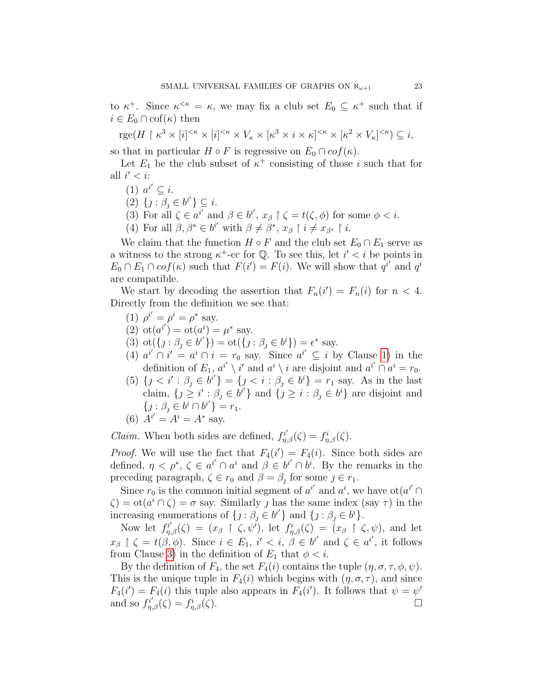to  $\kappa^+$ . Since  $\kappa^{\leq \kappa} = \kappa$ , we may fix a club set  $E_0 \subseteq \kappa^+$  such that if  $i \in E_0 \cap \mathrm{cof}(\kappa)$  then

 $rge(H \restriction \kappa^3 \times [i]^{<\kappa} \times [i]^{<\kappa} \times V_\kappa \times [\kappa^3 \times i \times \kappa]^{<\kappa} \times [\kappa^2 \times V_\kappa]^{<\kappa}) \subseteq i,$ 

so that in particular  $H \circ F$  is regressive on  $E_0 \cap cof(\kappa)$ .

Let  $E_1$  be the club subset of  $\kappa^+$  consisting of those i such that for all  $i' < i$ :

- <span id="page-22-0"></span>(1)  $a^{i'} \subseteq i$ .
- (2)  $\{j : \beta_j \in b^{i'}\} \subseteq i$ .
- <span id="page-22-1"></span>(3) For all  $\zeta \in a^{i'}$  and  $\beta \in b^{i'}, x_{\beta} \upharpoonright \zeta = t(\zeta, \phi)$  for some  $\phi < i$ .
- <span id="page-22-2"></span>(4) For all  $\beta, \beta^* \in b^{i'}$  with  $\beta \neq \beta^*, x_{\beta} \restriction i \neq x_{\beta^*} \restriction i$ .

We claim that the function  $H \circ F$  and the club set  $E_0 \cap E_1$  serve as a witness to the strong  $\kappa^+$ -cc for Q. To see this, let  $i' < i$  be points in  $E_0 \cap E_1 \cap cof(\kappa)$  such that  $F(i') = F(i)$ . We will show that  $q^{i'}$  and  $q^{i'}$ are compatible.

We start by decoding the assertion that  $F_n(i') = F_n(i)$  for  $n < 4$ . Directly from the definition we see that:

- (1)  $\rho^{i'} = \rho^i = \rho^*$  say.
- (2)  $ot(a^{i'}) = ot(a^i) = \mu^*$  say.
- (3)  $\text{ot}(\{j : \beta_j \in b^{i'}\}) = \text{ot}(\{j : \beta_j \in b^{i}\}) = \epsilon^*$  say.
- (4)  $a^{i'} \cap i' = a^i \cap i = r_0$  say. Since  $a^{i'} \subseteq i$  by Clause [1\)](#page-22-0) in the definition of  $E_1, a^{i'} \setminus i'$  and  $a^i \setminus i$  are disjoint and  $a^{i'} \cap a^i = r_0$ .
- (5)  $\{j < i': \beta_j \in b^{i'}\} = \{j < i : \beta_j \in b^i\} = r_1$  say. As in the last claim,  $\{j \geq i' : \beta_j \in b^{i'}\}$  and  $\{j \geq i : \beta_j \in b^i\}$  are disjoint and  $\{j : \beta_j \in b^i \cap b^{i'}\} = r_1.$

(6) 
$$
A^{i'} = A^i = A^*
$$
 say.

*Claim.* When both sides are defined,  $f_{\eta,\beta}^{i'}(\zeta) = f_{\eta,\beta}^{i}(\zeta)$ .

*Proof.* We will use the fact that  $F_4(i') = F_4(i)$ . Since both sides are defined,  $\eta < \rho^*, \zeta \in a^{i'} \cap a^i$  and  $\beta \in b^{i'} \cap b^i$ . By the remarks in the preceding paragraph,  $\zeta \in r_0$  and  $\beta = \beta_j$  for some  $j \in r_1$ .

Since  $r_0$  is the common initial segment of  $a^{i'}$  and  $a^i$ , we have ot $(a^{i'} \cap$  $\zeta$ ) = ot $(a^i \cap \zeta) = \sigma$  say. Similarly *j* has the same index (say  $\tau$ ) in the increasing enumerations of  $\{j : \beta_j \in b^{i'}\}$  and  $\{j : \beta_j \in b^{i}\}.$ 

Now let  $f_{\eta,\beta}^{i'}(\zeta) = (x_{\beta} \upharpoonright \zeta, \psi')$ , let  $f_{\eta,\beta}^{i}(\zeta) = (x_{\beta} \upharpoonright \zeta, \psi)$ , and let  $x_{\beta} \restriction \zeta = t(\beta, \phi)$ . Since  $i \in E_1$ ,  $i' < i, \beta \in b^{i'}$  and  $\zeta \in a^{i'}$ , it follows from Clause [3\)](#page-22-1) in the definition of  $E_1$  that  $\phi < i$ .

By the definition of  $F_4$ , the set  $F_4(i)$  contains the tuple  $(\eta, \sigma, \tau, \phi, \psi)$ . This is the unique tuple in  $F_4(i)$  which begins with  $(\eta, \sigma, \tau)$ , and since  $F_4(i') = F_4(i)$  this tuple also appears in  $F_4(i')$ . It follows that  $\psi = \psi'$ and so  $f_{\eta,\beta}^{i'}(\zeta) = f_{\eta}^{i}$  $\mathcal{L}_{\eta,\beta}^{i}(\zeta).$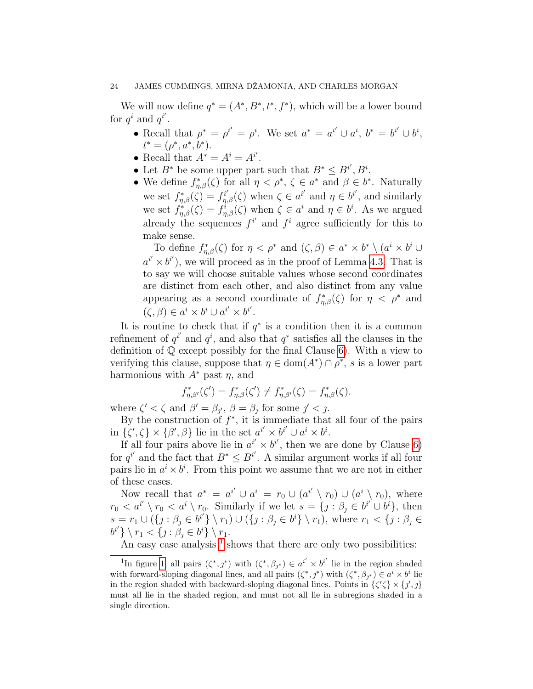We will now define  $q^* = (A^*, B^*, t^*, f^*)$ , which will be a lower bound for  $q^i$  and  $q^{i'}$ .

- Recall that  $\rho^* = \rho^{i'} = \rho^i$ . We set  $a^* = a^{i'} \cup a^i$ ,  $b^* = b^{i'} \cup b^i$ ,  $t^* = (\rho^*, a^*, b^*).$
- Recall that  $A^* = A^i = A^{i'}$ .
- Let  $B^*$  be some upper part such that  $B^* \leq B^{i'}$ ,  $B^i$ .
- We define  $f_{\eta,\beta}^*(\zeta)$  for all  $\eta < \rho^*, \zeta \in a^*$  and  $\beta \in b^*$ . Naturally we set  $f_{\eta,\beta}^*(\zeta) = f_{\eta,\beta}^{i'}(\zeta)$  when  $\zeta \in a^{i'}$  and  $\eta \in b^{i'}$ , and similarly we set  $f_{\eta,\beta}^*(\zeta) = f_{\eta,\beta}^i(\zeta)$  when  $\zeta \in a^i$  and  $\eta \in b^i$ . As we argued already the sequences  $f^{i'}$  and  $f^{i}$  agree sufficiently for this to make sense.

To define  $f_{\eta,\beta}^*(\zeta)$  for  $\eta < \rho^*$  and  $(\zeta,\beta) \in a^* \times b^* \setminus (a^i \times b^i \cup$  $a^{i'} \times b^{i'}$ , we will proceed as in the proof of Lemma [4.3.](#page-19-0) That is to say we will choose suitable values whose second coordinates are distinct from each other, and also distinct from any value appearing as a second coordinate of  $f_{\eta,\beta}^*(\zeta)$  for  $\eta < \rho^*$  and  $(\zeta, \beta) \in a^i \times b^i \cup a^{i'} \times b^{i'}$ .

It is routine to check that if  $q^*$  is a condition then it is a common refinement of  $q^{i'}$  and  $q^{i}$ , and also that  $q^*$  satisfies all the clauses in the definition of Q except possibly for the final Clause [6\)](#page-18-0). With a view to verifying this clause, suppose that  $\eta \in \text{dom}(A^*) \cap \rho^*$ , s is a lower part harmonious with  $A^*$  past  $\eta$ , and

$$
f_{\eta,\beta'}^*(\zeta') = f_{\eta,\beta}^*(\zeta') \neq f_{\eta,\beta'}^*(\zeta) = f_{\eta,\beta}^*(\zeta).
$$

where  $\zeta' < \zeta$  and  $\beta' = \beta_{j'}$ ,  $\beta = \beta_{j}$  for some  $j' < j$ .

By the construction of  $f^*$ , it is immediate that all four of the pairs in  $\{\zeta',\zeta\}\times\{\beta',\beta\}$  lie in the set  $a^{i'}\times b^{i'}\cup a^i\times b^i$ .

If all four pairs above lie in  $a^{i'} \times b^{i'}$ , then we are done by Clause [6\)](#page-18-0) for  $q^{i'}$  and the fact that  $B^* \leq B^{i'}$ . A similar argument works if all four pairs lie in  $a^i \times b^i$ . From this point we assume that we are not in either of these cases.

Now recall that  $a^* = a^{i'} \cup a^i = r_0 \cup (a^{i'} \setminus r_0) \cup (a^i \setminus r_0)$ , where  $r_0 < a^{i'} \setminus r_0 < a^i \setminus r_0$ . Similarly if we let  $s = \{j : \beta_j \in b^{i'} \cup b^i\}$ , then  $s = r_1 \cup (\{j : \beta_j \in b^{i'}\} \setminus r_1) \cup (\{j : \beta_j \in b^{i}\} \setminus r_1)$ , where  $r_1 < \{j : \beta_j \in b^{i'}\}$  $b^{i'}\}\setminus r_1 < \{j : \beta_j \in b^i\} \setminus r_1.$ 

An easy case analysis  $<sup>1</sup>$  $<sup>1</sup>$  $<sup>1</sup>$  shows that there are only two possibilities:</sup>

<span id="page-23-0"></span><sup>&</sup>lt;sup>1</sup>In figure [1,](#page-24-0) all pairs  $(\zeta^*, j^*)$  with  $(\zeta^*, \beta_{j^*}) \in a^{i'} \times b^{i'}$  lie in the region shaded with forward-sloping diagonal lines, and all pairs  $(\zeta^*, j^*)$  with  $(\zeta^*, \beta_{j^*}) \in a^i \times b^i$  lie in the region shaded with backward-sloping diagonal lines. Points in  $\{\zeta'\zeta\} \times \{j',j\}$ must all lie in the shaded region, and must not all lie in subregions shaded in a single direction.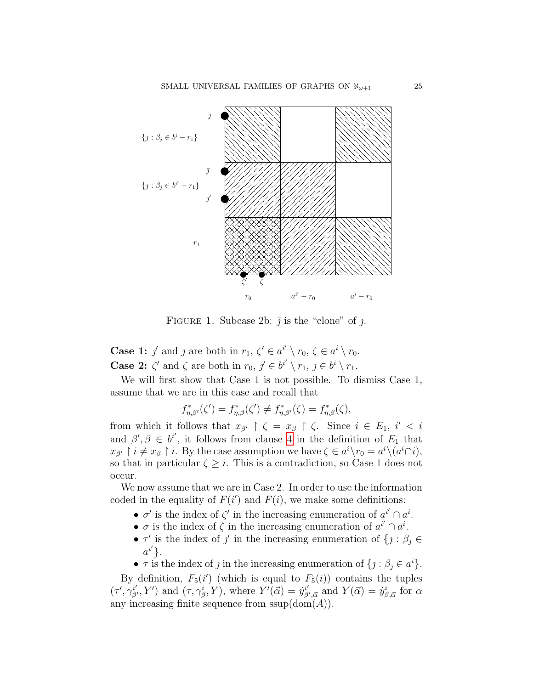

<span id="page-24-0"></span>FIGURE 1. Subcase 2b:  $\bar{j}$  is the "clone" of  $j$ .

**Case 1:**  $j'$  and  $j$  are both in  $r_1, \zeta' \in a^{i'} \setminus r_0, \zeta \in a^{i} \setminus r_0$ . **Case 2:**  $\zeta'$  and  $\zeta$  are both in  $r_0, \, \jmath' \in b^{i'} \setminus r_1, \, \jmath \in b^i \setminus r_1$ .

We will first show that Case 1 is not possible. To dismiss Case 1, assume that we are in this case and recall that

$$
f_{\eta,\beta'}^*(\zeta') = f_{\eta,\beta}^*(\zeta') \neq f_{\eta,\beta'}^*(\zeta) = f_{\eta,\beta}^*(\zeta),
$$

from which it follows that  $x_{\beta'} \restriction \zeta = x_{\beta} \restriction \zeta$ . Since  $i \in E_1$ ,  $i' < i$ and  $\beta', \beta \in b^{i'}$ , it follows from clause [4](#page-22-2) in the definition of  $E_1$  that  $x_{\beta'} \restriction i \neq x_{\beta} \restriction i$ . By the case assumption we have  $\zeta \in a^{i} \setminus r_0 = a^{i} \setminus (a^{i} \cap i)$ , so that in particular  $\zeta \geq i$ . This is a contradiction, so Case 1 does not occur.

We now assume that we are in Case 2. In order to use the information coded in the equality of  $F(i')$  and  $F(i)$ , we make some definitions:

- $\sigma'$  is the index of  $\zeta'$  in the increasing enumeration of  $a^{i'} \cap a^i$ .
- $\sigma$  is the index of  $\zeta$  in the increasing enumeration of  $a^{i'} \cap a^i$ .
- $\tau'$  is the index of  $j'$  in the increasing enumeration of  $\{j : \beta_j \in$  $a^{i'}\}.$
- $\tau$  is the index of j in the increasing enumeration of  $\{j : \beta_j \in a^i\}.$

By definition,  $F_5(i')$  (which is equal to  $F_5(i)$ ) contains the tuples  $(\tau', \gamma_{\beta'}^{i'}, Y')$  and  $(\tau, \gamma_{\beta}^{i}, Y)$ , where  $Y'(\vec{\alpha}) = \dot{y}_{\beta}^{i'}$  $j'_{\beta',\vec{\alpha}}$  and  $Y(\vec{\alpha}) = \dot{y}^i_{\beta,\vec{\alpha}}$  for  $\alpha$ any increasing finite sequence from  $ssup(\text{dom}(A)).$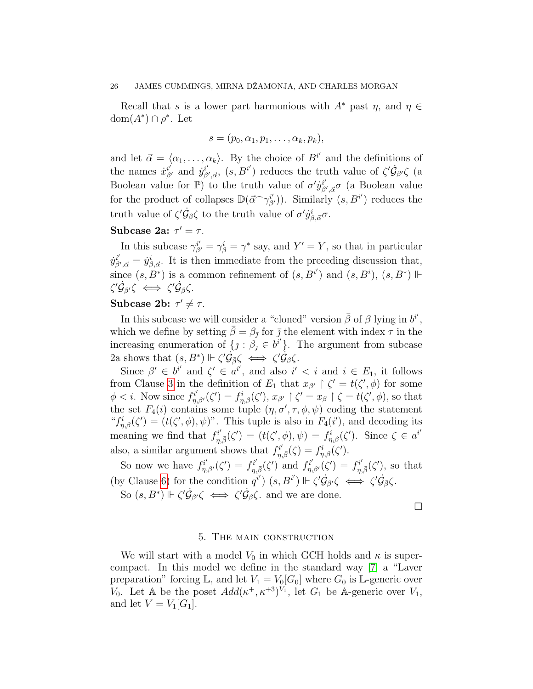Recall that s is a lower part harmonious with  $A^*$  past  $\eta$ , and  $\eta \in$ dom $(A^*) \cap \rho^*$ . Let

$$
s=(p_0,\alpha_1,p_1,\ldots,\alpha_k,p_k),
$$

and let  $\vec{\alpha} = \langle \alpha_1, \ldots, \alpha_k \rangle$ . By the choice of  $B^{i'}$  and the definitions of the names  $\dot{x}_{\beta'}^{i'}$  and  $\dot{y}_{\beta}^{i'}$  $\phi_{\beta',\vec{\alpha}}^{i'}$ ,  $(s, B^{i'})$  reduces the truth value of  $\zeta' \dot{\mathcal{G}}_{\beta'} \zeta$  (a Boolean value for  $\mathbb{P}$ ) to the truth value of  $\sigma' y_0^{i'}$  $\phi_{\beta',\vec{\alpha}}^i\sigma$  (a Boolean value for the product of collapses  $\mathbb{D}(\vec{\alpha} \cap \gamma_{\beta'}^{i'})$ ). Similarly  $(s, B^{i'})$  reduces the truth value of  $\zeta' \dot{\mathcal{G}}_{\beta} \zeta$  to the truth value of  $\sigma' \dot{y}^i_{\beta, \vec{\alpha}} \sigma$ .

# Subcase 2a:  $\tau' = \tau$ .

In this subcase  $\gamma_{\beta'}^{i'} = \gamma_{\beta}^{i} = \gamma^*$  say, and  $Y' = Y$ , so that in particular  $\dot{y}_\mathit{B}^{i'}$  $\dot{\beta}'_{\beta',\vec{\alpha}} = \dot{y}^i_{\beta,\vec{\alpha}}$ . It is then immediate from the preceding discussion that, since  $(s, B^*)$  is a common refinement of  $(s, B^{i'})$  and  $(s, B^i)$ ,  $(s, B^*)$   $\Vdash$  $\zeta'\dot{\mathcal G}_{\beta'}\zeta\iff\zeta'\dot{\mathcal G}_{\beta}\zeta.$ 

# Subcase 2b:  $\tau' \neq \tau$ .

In this subcase we will consider a "cloned" version  $\bar{\beta}$  of  $\beta$  lying in  $b^{i'}$ , which we define by setting  $\bar{\beta} = \beta_{\bar{\jmath}}$  for  $\bar{\jmath}$  the element with index  $\tau$  in the increasing enumeration of  $\{j : \beta_j \in b^{i'}\}$ . The argument from subcase 2a shows that  $(s, B^*) \Vdash \zeta' \dot{\mathcal{G}}_{\bar{\beta}} \zeta \iff \zeta' \dot{\mathcal{G}}_{\beta} \zeta$ .

Since  $\beta' \in b^{i'}$  and  $\zeta' \in a^{i'}$ , and also  $i' < i$  and  $i \in E_1$ , it follows from Clause [3](#page-22-1) in the definition of  $E_1$  that  $x_{\beta'} \restriction \zeta' = t(\zeta', \phi)$  for some  $\phi < i$ . Now since  $f_{\eta,\beta'}^{i'}(\zeta') = f_{\eta,\beta}^{i}(\zeta'), x_{\beta'} \upharpoonright \zeta' = x_{\beta} \upharpoonright \zeta = t(\zeta',\phi)$ , so that the set  $F_4(i)$  contains some tuple  $(\eta, \sigma', \tau, \phi, \psi)$  coding the statement " $f_{\eta,\beta}^i(\zeta') = (t(\zeta', \phi), \psi)$ ". This tuple is also in  $F_4(i')$ , and decoding its meaning we find that  $f_{\eta,\bar{\beta}}^{i'}(\zeta') = (t(\zeta',\phi),\psi) = f_{\eta,\beta}^{i}(\zeta')$ . Since  $\zeta \in a^{i'}$ also, a similar argument shows that  $f_{\eta,\bar{\beta}}^{i'}(\zeta) = f_{\eta,\beta}^{i}(\zeta').$ 

So now we have  $f_{\eta,\beta'}^{i'}(\zeta') = f_{\eta,\bar{\beta}}^{i'}(\zeta')$  and  $f_{\eta,\beta'}^{i'}(\zeta') = f_{\eta,\bar{\beta}}^{i'}(\zeta')$ , so that (by Clause [6\)](#page-18-0) for the condition  $q^{i'}$ )  $(s, B^{i'})$   $\Vdash \zeta' \dot{\mathcal{G}}_{\beta'} \zeta \iff \zeta' \dot{\mathcal{G}}_{\overline{\beta}} \zeta$ . So  $(s, B^*) \Vdash \zeta' \dot{\mathcal{G}}_{\beta'} \zeta \iff \zeta' \dot{\mathcal{G}}_{\beta} \zeta$  and we are done.

 $\Box$ 

#### 5. The main construction

<span id="page-25-0"></span>We will start with a model  $V_0$  in which GCH holds and  $\kappa$  is supercompact. In this model we define in the standard way [\[7\]](#page-34-9) a "Laver preparation" forcing  $\mathbb{L}$ , and let  $V_1 = V_0[G_0]$  where  $G_0$  is  $\mathbb{L}$ -generic over  $V_0$ . Let A be the poset  $Add(\kappa^+, \kappa^{+3})^{V_1}$ , let  $G_1$  be A-generic over  $V_1$ , and let  $V = V_1[G_1]$ .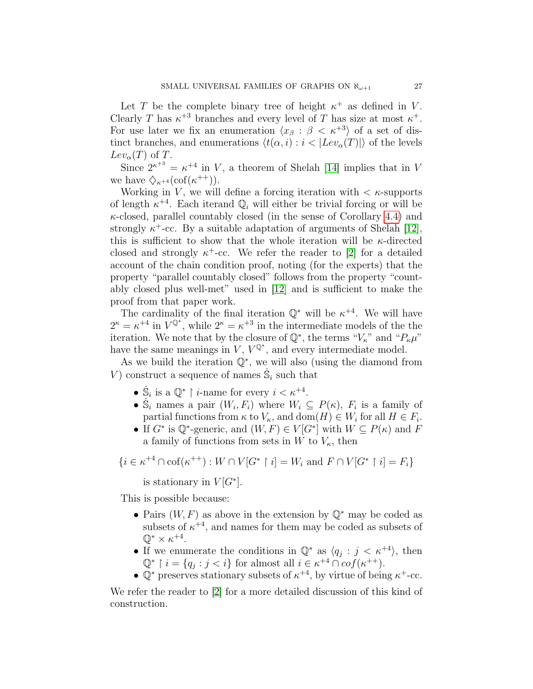Let T be the complete binary tree of height  $\kappa^+$  as defined in V. Clearly T has  $\kappa^{+3}$  branches and every level of T has size at most  $\kappa^+$ . For use later we fix an enumeration  $\langle x_\beta : \beta < \kappa^{+3} \rangle$  of a set of distinct branches, and enumerations  $\langle t(\alpha, i) : i < |Lev_{\alpha}(T)| \rangle$  of the levels  $Lev_{\alpha}(T)$  of T.

Since  $2^{\kappa^{+3}} = \kappa^{+4}$  in V, a theorem of Shelah [\[14\]](#page-34-10) implies that in V we have  $\diamondsuit_{\kappa^{+4}}(\mathrm{cof}(\kappa^{++})).$ 

Working in V, we will define a forcing iteration with  $\lt$   $\kappa$ -supports of length  $\kappa^{+4}$ . Each iterand  $\mathbb{Q}_i$  will either be trivial forcing or will be  $\kappa$ -closed, parallel countably closed (in the sense of Corollary [4.4\)](#page-20-0) and strongly  $\kappa^+$ -cc. By a suitable adaptation of arguments of Shelah [\[12\]](#page-34-11), this is sufficient to show that the whole iteration will be  $\kappa$ -directed closed and strongly  $\kappa^+$ -cc. We refer the reader to [\[2\]](#page-33-0) for a detailed account of the chain condition proof, noting (for the experts) that the property "parallel countably closed" follows from the property "countably closed plus well-met" used in [\[12\]](#page-34-11) and is sufficient to make the proof from that paper work.

The cardinality of the final iteration  $\mathbb{Q}^*$  will be  $\kappa^{+4}$ . We will have  $2^{\kappa} = \kappa^{+4}$  in  $V^{\mathbb{Q}^*}$ , while  $2^{\kappa} = \kappa^{+3}$  in the intermediate models of the the iteration. We note that by the closure of  $\mathbb{Q}^*$ , the terms " $V_{\kappa}$ " and " $P_{\kappa}\mu$ " have the same meanings in  $V, V^{\mathbb{Q}^*}$ , and every intermediate model.

As we build the iteration  $\mathbb{Q}^*$ , we will also (using the diamond from V) construct a sequence of names  $\dot{\mathbb{S}}_i$  such that

- $\dot{\mathbb{S}}_i$  is a  $\mathbb{Q}^*$  | *i*-name for every  $i < \kappa^{+4}$ .
- $\mathbb{S}_i$  names a pair  $(W_i, F_i)$  where  $W_i \subseteq P(\kappa)$ ,  $F_i$  is a family of partial functions from  $\kappa$  to  $V_{\kappa}$ , and  $dom(H) \in W_i$  for all  $H \in F_i$ .
- If  $G^*$  is  $\mathbb{Q}^*$ -generic, and  $(W, F) \in V[G^*]$  with  $W \subseteq P(\kappa)$  and F a family of functions from sets in W to  $V_{\kappa}$ , then

$$
\{i\in \kappa^{+4}\cap\operatorname{cof}(\kappa^{++}):W\cap V[G^*\upharpoonright i]=W_i\text{ and }F\cap V[G^*\upharpoonright i]=F_i\}
$$

is stationary in  $V[G^*].$ 

This is possible because:

- Pairs  $(W, F)$  as above in the extension by  $\mathbb{Q}^*$  may be coded as subsets of  $\kappa^{+4}$ , and names for them may be coded as subsets of  $\mathbb{Q}^* \times \kappa^{+4}.$
- If we enumerate the conditions in  $\mathbb{Q}^*$  as  $\langle q_j : j < \kappa^{+4} \rangle$ , then  $\mathbb{Q}^*$  |  $i = \{q_j : j < i\}$  for almost all  $i \in \kappa^{+4} \cap cof(\kappa^{++}).$
- $\mathbb{Q}^*$  preserves stationary subsets of  $\kappa^{+4}$ , by virtue of being  $\kappa^+$ -cc.

We refer the reader to [\[2\]](#page-33-0) for a more detailed discussion of this kind of construction.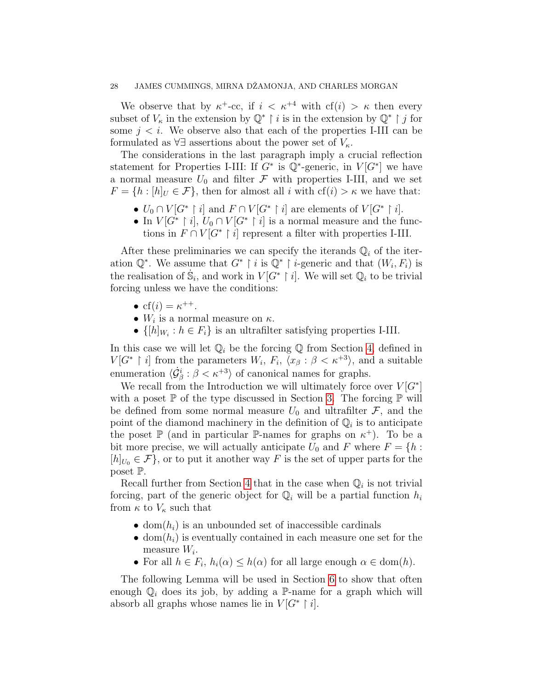We observe that by  $\kappa^+$ -cc, if  $i < \kappa^{+4}$  with  $cf(i) > \kappa$  then every subset of  $V_{\kappa}$  in the extension by  $\mathbb{Q}^*$  | i is in the extension by  $\mathbb{Q}^*$  | j for some  $j < i$ . We observe also that each of the properties I-III can be formulated as  $\forall \exists$  assertions about the power set of  $V_{\kappa}$ .

The considerations in the last paragraph imply a crucial reflection statement for Properties I-III: If  $G^*$  is  $\mathbb{Q}^*$ -generic, in  $V[G^*]$  we have a normal measure  $U_0$  and filter  $\mathcal F$  with properties I-III, and we set  $F = \{h : [h]_U \in \mathcal{F}\}\$ , then for almost all i with  $cf(i) > \kappa$  we have that:

- $U_0 \cap V[G^* \restriction i]$  and  $F \cap V[G^* \restriction i]$  are elements of  $V[G^* \restriction i]$ .
- In  $V[G^* \mid i], U_0 \cap V[G^* \mid i]$  is a normal measure and the functions in  $F \cap V[G^* \mid i]$  represent a filter with properties I-III.

After these preliminaries we can specify the iterands  $\mathbb{Q}_i$  of the iteration  $\mathbb{Q}^*$ . We assume that  $G^* \restriction i$  is  $\mathbb{Q}^* \restriction i$ -generic and that  $(W_i, F_i)$  is the realisation of  $\dot{S}_i$ , and work in  $V[G^* \restriction i]$ . We will set  $\mathbb{Q}_i$  to be trivial forcing unless we have the conditions:

- $cf(i) = \kappa^{++}.$
- $W_i$  is a normal measure on  $\kappa$ .
- $\{[h]_{W_i} : h \in F_i\}$  is an ultrafilter satisfying properties I-III.

In this case we will let  $\mathbb{Q}_i$  be the forcing  $\mathbb Q$  from Section [4,](#page-17-0) defined in  $V[G^* \restriction i]$  from the parameters  $W_i, F_i, \overline{\langle x_\beta : \beta < \kappa^{+3} \rangle}$ , and a suitable enumeration  $\langle \dot{G}_{\beta}^{i} : \beta < \kappa^{+3} \rangle$  of canonical names for graphs.

We recall from the Introduction we will ultimately force over  $V[G^*]$ with a poset  $\mathbb P$  of the type discussed in Section [3.](#page-10-0) The forcing  $\mathbb P$  will be defined from some normal measure  $U_0$  and ultrafilter  $\mathcal{F}$ , and the point of the diamond machinery in the definition of  $\mathbb{Q}_i$  is to anticipate the poset  $\mathbb P$  (and in particular  $\mathbb P$ -names for graphs on  $\kappa^+$ ). To be a bit more precise, we will actually anticipate  $U_0$  and  $F$  where  $F = \{h :$  $[h]_{U_0} \in \mathcal{F}$ , or to put it another way F is the set of upper parts for the poset P.

Recall further from Section [4](#page-17-0) that in the case when  $\mathbb{Q}_i$  is not trivial forcing, part of the generic object for  $\mathbb{Q}_i$  will be a partial function  $h_i$ from  $\kappa$  to  $V_{\kappa}$  such that

- dom $(h_i)$  is an unbounded set of inaccessible cardinals
- dom $(h_i)$  is eventually contained in each measure one set for the measure  $W_i$ .
- For all  $h \in F_i$ ,  $h_i(\alpha) \leq h(\alpha)$  for all large enough  $\alpha \in \text{dom}(h)$ .

The following Lemma will be used in Section [6](#page-31-0) to show that often enough  $\mathbb{Q}_i$  does its job, by adding a P-name for a graph which will absorb all graphs whose names lie in  $V[G^* \restriction i].$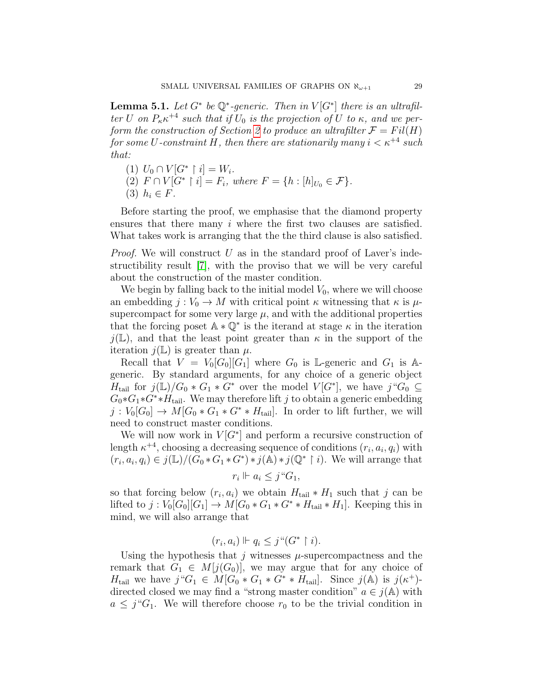**Lemma 5.1.** Let  $G^*$  be  $\mathbb{Q}^*$ -generic. Then in  $V[G^*]$  there is an ultrafilter U on  $P_{\kappa} \kappa^{+4}$  such that if  $U_0$  is the projection of U to  $\kappa$ , and we per-form the construction of Section [2](#page-3-0) to produce an ultrafilter  $\mathcal{F} = Fil(H)$ for some U-constraint H, then there are stationarily many  $i < \kappa^{+4}$  such that:

(1)  $U_0 \cap V[G^* \restriction i] = W_i$ . (2)  $F \cap V[G^* \mid i] = F_i$ , where  $F = \{h : [h]_{U_0} \in \mathcal{F}\}.$ (3)  $h_i \in F$ .

Before starting the proof, we emphasise that the diamond property ensures that there many i where the first two clauses are satisfied. What takes work is arranging that the the third clause is also satisfied.

*Proof.* We will construct  $U$  as in the standard proof of Laver's indestructibility result [\[7\]](#page-34-9), with the proviso that we will be very careful about the construction of the master condition.

We begin by falling back to the initial model  $V_0$ , where we will choose an embedding  $j: V_0 \to M$  with critical point  $\kappa$  witnessing that  $\kappa$  is  $\mu$ supercompact for some very large  $\mu$ , and with the additional properties that the forcing poset  $\mathbb{A} * \mathbb{Q}^*$  is the iterand at stage  $\kappa$  in the iteration  $j(\mathbb{L})$ , and that the least point greater than  $\kappa$  in the support of the iteration  $j(\mathbb{L})$  is greater than  $\mu$ .

Recall that  $V = V_0[G_0][G_1]$  where  $G_0$  is L-generic and  $G_1$  is Ageneric. By standard arguments, for any choice of a generic object  $H_{\text{tail}}$  for  $j(\mathbb{L})/G_0 * G_1 * G^*$  over the model  $V[G^*]$ , we have  $j \text{``} G_0 \subseteq$  $G_0 * G_1 * G^* * H_{tail}$ . We may therefore lift j to obtain a generic embedding  $j: V_0[G_0] \to M[G_0 * G_1 * G^* * H_{tail}].$  In order to lift further, we will need to construct master conditions.

We will now work in  $V[G^*]$  and perform a recursive construction of length  $\kappa^{+4}$ , choosing a decreasing sequence of conditions  $(r_i, a_i, q_i)$  with  $(r_i, a_i, q_i) \in j(\mathbb{L})/(G_0 * G_1 * G^*) * j(\mathbb{A}) * j(\mathbb{Q}^* \restriction i)$ . We will arrange that

$$
r_i \Vdash a_i \leq j \, \text{``} G_1,
$$

so that forcing below  $(r_i, a_i)$  we obtain  $H_{\text{tail}} * H_1$  such that j can be lifted to  $j: V_0[G_0][G_1] \to M[G_0 * G_1 * G^* * H_{tail} * H_1]$ . Keeping this in mind, we will also arrange that

$$
(r_i, a_i) \Vdash q_i \leq j \text{``}(G^* \restriction i).
$$

Using the hypothesis that j witnesses  $\mu$ -supercompactness and the remark that  $G_1 \in M[j(G_0)]$ , we may argue that for any choice of  $H_{\text{tail}}$  we have  $j''G_1 \in M[G_0 * G_1 * G^* * H_{\text{tail}}]$ . Since  $j(A)$  is  $j(\kappa^+)$ directed closed we may find a "strong master condition"  $a \in j(A)$  with  $a \leq j^{\alpha}G_1$ . We will therefore choose  $r_0$  to be the trivial condition in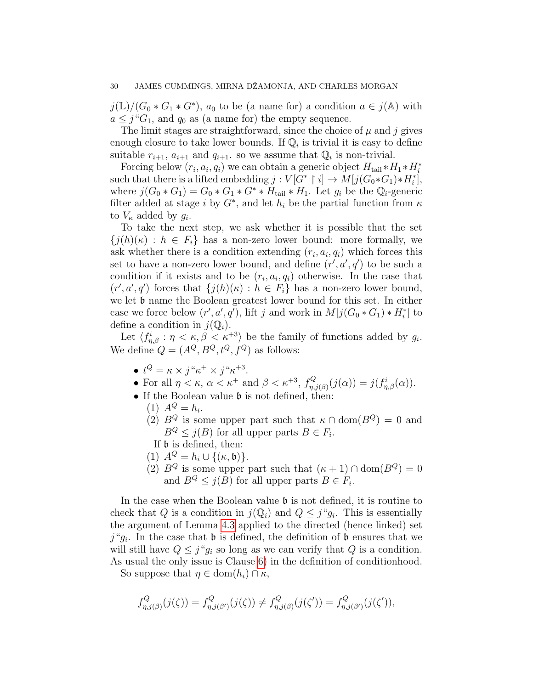$j(\mathbb{L})/(G_0 * G_1 * G^*)$ ,  $a_0$  to be (a name for) a condition  $a \in j(\mathbb{A})$  with  $a \leq j^{\alpha}G_1$ , and  $q_0$  as (a name for) the empty sequence.

The limit stages are straightforward, since the choice of  $\mu$  and j gives enough closure to take lower bounds. If  $\mathbb{Q}_i$  is trivial it is easy to define suitable  $r_{i+1}$ ,  $a_{i+1}$  and  $q_{i+1}$ . so we assume that  $\mathbb{Q}_i$  is non-trivial.

Forcing below  $(r_i, a_i, q_i)$  we can obtain a generic object  $H_{\text{tail}} * H_1 * H_i^*$ such that there is a lifted embedding  $j: V[\tilde{G}^* \restriction i] \to M[j(G_0 * G_1) * H_i^*],$ where  $j(G_0 * G_1) = G_0 * G_1 * G^* * H_{tail} * H_1$ . Let  $g_i$  be the  $\mathbb{Q}_i$ -generic filter added at stage i by  $G^*$ , and let  $h_i$  be the partial function from  $\kappa$ to  $V_{\kappa}$  added by  $g_i$ .

To take the next step, we ask whether it is possible that the set  ${j(h)(\kappa) : h \in F_i}$  has a non-zero lower bound: more formally, we ask whether there is a condition extending  $(r_i, a_i, q_i)$  which forces this set to have a non-zero lower bound, and define  $(r', a', q')$  to be such a condition if it exists and to be  $(r_i, a_i, q_i)$  otherwise. In the case that  $(r', a', q')$  forces that  $\{j(h)(\kappa) : h \in F_i\}$  has a non-zero lower bound, we let  $\mathfrak b$  name the Boolean greatest lower bound for this set. In either case we force below  $(r', a', q')$ , lift j and work in  $M[j(G_0 * G_1) * H_i^*]$  to define a condition in  $j(\mathbb{Q}_i)$ .

Let  $\langle f_{\eta,\beta}^i : \eta < \kappa, \beta < \kappa^{+3} \rangle$  be the family of functions added by  $g_i$ . We define  $Q = (A^Q, B^Q, t^Q, f^Q)$  as follows:

- $\bullet\ t^Q=\kappa\times j``\kappa^+\times j``\kappa^{+3}.$
- For all  $\eta < \kappa$ ,  $\alpha < \kappa^+$  and  $\beta < \kappa^{+3}$ ,  $f_n^Q$  $j_{\eta,j(\beta)}^{Q}(j(\alpha))=j(f_{\eta,\beta}^{i}(\alpha)).$
- If the Boolean value  $\mathfrak b$  is not defined, then:
	- (1)  $A^{Q} = h_{i}$ .
	- (2)  $B^Q$  is some upper part such that  $\kappa \cap \text{dom}(B^Q) = 0$  and  $B^Q \leq j(B)$  for all upper parts  $B \in F_i$ .
	- If  $\mathfrak b$  is defined, then:
	- (1)  $A^Q = h_i \cup \{(\kappa, \mathfrak{b})\}.$
	- (2)  $B^Q$  is some upper part such that  $(\kappa + 1) \cap \text{dom}(B^Q) = 0$ and  $B^Q \leq j(B)$  for all upper parts  $B \in F_i$ .

In the case when the Boolean value  $\mathfrak b$  is not defined, it is routine to check that Q is a condition in  $j(\mathbb{Q}_i)$  and  $Q \leq j``g_i$ . This is essentially the argument of Lemma [4.3](#page-19-0) applied to the directed (hence linked) set  $j^{\mu}g_i$ . In the case that **b** is defined, the definition of **b** ensures that we will still have  $Q \leq j^{\alpha}g_i$  so long as we can verify that Q is a condition. As usual the only issue is Clause [6\)](#page-18-0) in the definition of conditionhood.

So suppose that  $\eta \in \text{dom}(h_i) \cap \kappa$ ,

$$
f_{\eta,j(\beta)}^Q(j(\zeta)) = f_{\eta,j(\beta')}^Q(j(\zeta)) \neq f_{\eta,j(\beta)}^Q(j(\zeta')) = f_{\eta,j(\beta')}^Q(j(\zeta')),
$$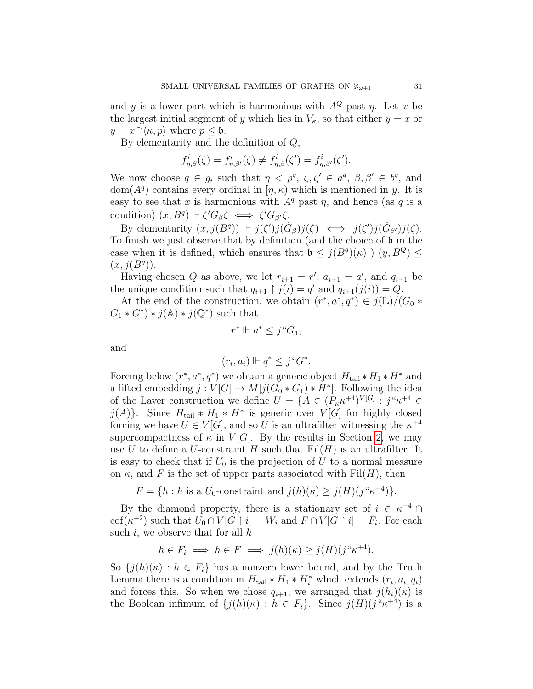and y is a lower part which is harmonious with  $A^{Q}$  past  $\eta$ . Let x be the largest initial segment of y which lies in  $V_{\kappa}$ , so that either  $y = x$  or  $y = x^{\frown} \langle \kappa, p \rangle$  where  $p \leq \mathfrak{b}$ .

By elementarity and the definition of Q,

$$
f_{\eta,\beta}^i(\zeta) = f_{\eta,\beta'}^i(\zeta) \neq f_{\eta,\beta}^i(\zeta') = f_{\eta,\beta'}^i(\zeta').
$$

We now choose  $q \in g_i$  such that  $\eta < \rho^q$ ,  $\zeta$ ,  $\zeta' \in a^q$ ,  $\beta$ ,  $\beta' \in b^q$ , and  $dom(A^q)$  contains every ordinal in  $[\eta, \kappa)$  which is mentioned in y. It is easy to see that x is harmonious with  $A<sup>q</sup>$  past  $\eta$ , and hence (as q is a condition)  $(x, B^q) \Vdash \zeta' \dot{G}_{\beta} \zeta \iff \zeta' \dot{G}_{\beta'} \zeta$ .

By elementarity  $(x, j(B^q)) \Vdash j(\zeta')j(\dot{G}_{\beta})j(\zeta) \iff j(\zeta')j(\dot{G}_{\beta'})j(\zeta)$ . To finish we just observe that by definition (and the choice of b in the case when it is defined, which ensures that  $\mathfrak{b} \leq j(B^q)(\kappa)$   $(y, B^Q) \leq$  $(x, j(B<sup>q</sup>)).$ 

Having chosen Q as above, we let  $r_{i+1} = r'$ ,  $a_{i+1} = a'$ , and  $q_{i+1}$  be the unique condition such that  $q_{i+1} \restriction j(i) = q'$  and  $q_{i+1}(j(i)) = Q$ .

At the end of the construction, we obtain  $(r^*, a^*, q^*) \in j(\mathbb{L})/(G_0 *$  $G_1 * G^*$  +  $j(\mathbb{A}) * j(\mathbb{Q}^*)$  such that

$$
r^* \Vdash a^* \leq j^* G_1,
$$

and

$$
(r_i, a_i) \Vdash q^* \leq j \, \text{``} G^*.
$$

Forcing below  $(r^*, a^*, q^*)$  we obtain a generic object  $H_{\text{tail}} * H_1 * H^*$  and a lifted embedding  $j: V[G] \to M[j(G_0 * G_1) * H^*]$ . Following the idea of the Laver construction we define  $U = \{A \in (P_{\kappa} \kappa^{+4})^{V[G]} : j^{\alpha} \kappa^{+4} \in$  $j(A)$ . Since  $H_{tail} * H_1 * H^*$  is generic over  $V[G]$  for highly closed forcing we have  $U \in V[G]$ , and so U is an ultrafilter witnessing the  $\kappa^{+4}$ supercompactness of  $\kappa$  in  $V[G]$ . By the results in Section [2,](#page-3-0) we may use U to define a U-constraint H such that  $Fil(H)$  is an ultrafilter. It is easy to check that if  $U_0$  is the projection of U to a normal measure on  $\kappa$ , and F is the set of upper parts associated with Fil $(H)$ , then

 $F = \{h : h \text{ is a } U_0\text{-constraint and } j(h)(\kappa) \geq j(H)(j^{\alpha}\kappa^{+4})\}.$ 

By the diamond property, there is a stationary set of  $i \in \kappa^{+4}$ cof( $\kappa^{+2}$ ) such that  $\hat{U_0} \cap \hat{V[G \restriction i]} = W_i$  and  $F \cap \hat{V[G \restriction i]} = F_i$ . For each such i, we observe that for all  $h$ 

$$
h \in F_i \implies h \in F \implies j(h)(\kappa) \ge j(H)(j^{\alpha} \kappa^{+4}).
$$

So  $\{j(h)(\kappa): h \in F_i\}$  has a nonzero lower bound, and by the Truth Lemma there is a condition in  $H_{tail} * H_1 * H_i^*$  which extends  $(r_i, a_i, q_i)$ and forces this. So when we chose  $q_{i+1}$ , we arranged that  $j(h_i)(\kappa)$  is the Boolean infimum of  $\{j(h)(\kappa) : h \in F_i\}$ . Since  $j(H)(j^{\alpha}\kappa^{+4})$  is a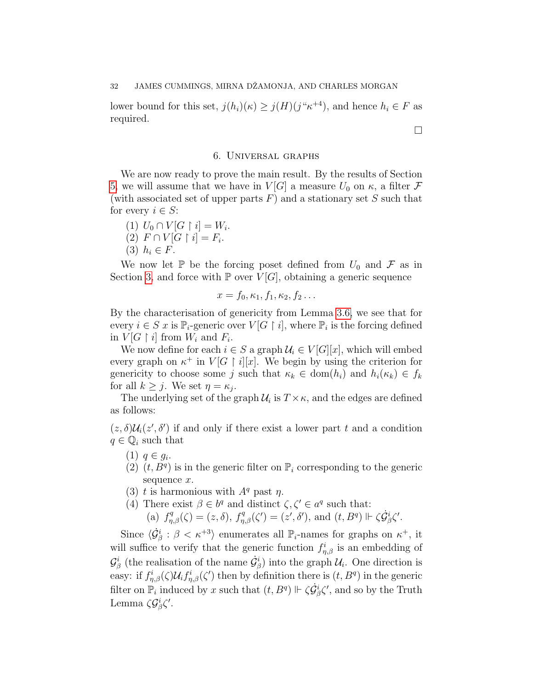lower bound for this set,  $j(h_i)(\kappa) \geq j(H)(j^{\alpha}\kappa^{+4})$ , and hence  $h_i \in F$  as required.

#### 6. Universal graphs

<span id="page-31-0"></span>We are now ready to prove the main result. By the results of Section [5,](#page-25-0) we will assume that we have in  $V[G]$  a measure  $U_0$  on  $\kappa$ , a filter  $\mathcal F$ (with associated set of upper parts  $F$ ) and a stationary set  $S$  such that for every  $i \in S$ :

(1)  $U_0 \cap V[G \restriction i] = W_i$ .  $(2) F \cap V[G \restriction i] = F_i.$ (3)  $h_i \in F$ .

We now let  $\mathbb P$  be the forcing poset defined from  $U_0$  and  $\mathcal F$  as in Section [3,](#page-10-0) and force with  $\mathbb P$  over  $V[G]$ , obtaining a generic sequence

$$
x=f_0,\kappa_1,f_1,\kappa_2,f_2\ldots
$$

By the characterisation of genericity from Lemma [3.6,](#page-15-0) we see that for every  $i \in S$  x is  $\mathbb{P}_i$ -generic over  $V[G \restriction i]$ , where  $\mathbb{P}_i$  is the forcing defined in  $V[G \restriction i]$  from  $W_i$  and  $F_i$ .

We now define for each  $i \in S$  a graph  $\mathcal{U}_i \in V[G][x]$ , which will embed every graph on  $\kappa^+$  in  $V[G \restriction i][x]$ . We begin by using the criterion for genericity to choose some j such that  $\kappa_k \in \text{dom}(h_i)$  and  $h_i(\kappa_k) \in f_k$ for all  $k \geq j$ . We set  $\eta = \kappa_j$ .

The underlying set of the graph  $\mathcal{U}_i$  is  $T \times \kappa$ , and the edges are defined as follows:

 $(z, \delta)$ U<sub>i</sub> $(z', \delta')$  if and only if there exist a lower part t and a condition  $q \in \mathbb{Q}_i$  such that

- (1)  $q \in g_i$ .
- $(2)$   $(t, B<sup>q</sup>)$  is in the generic filter on  $\mathbb{P}_i$  corresponding to the generic sequence x.
- (3) t is harmonious with  $A^q$  past  $\eta$ .
- (4) There exist  $\beta \in b^q$  and distinct  $\zeta, \zeta' \in a^q$  such that: (a)  $f_{\eta,\beta}^q(\zeta) = (z,\delta), f_{\eta,\beta}^q(\zeta') = (z',\delta'), \text{ and } (t,B^q) \Vdash \zeta \dot{\mathcal{G}}_{\beta}^i \zeta'.$

Since  $\langle \dot{\mathcal{G}}^i_{\beta} : \beta < \kappa^{+3} \rangle$  enumerates all  $\mathbb{P}_i$ -names for graphs on  $\kappa^+$ , it will suffice to verify that the generic function  $f_{\eta,\beta}^i$  is an embedding of  $\mathcal{G}_{\beta}^{i}$  (the realisation of the name  $\dot{\mathcal{G}}_{\beta}^{i}$ ) into the graph  $\mathcal{U}_{i}$ . One direction is easy: if  $f_{\eta,\beta}^i(\zeta)U_i f_{\eta,\beta}^i(\zeta')$  then by definition there is  $(t, B^q)$  in the generic filter on  $\overline{P}_i$  induced by x such that  $(t, B^q) \Vdash \zeta \dot{G}^i_{\beta} \zeta'$ , and so by the Truth Lemma  $\zeta \mathcal{G}_{\beta}^{i} \zeta'$ .

 $\Box$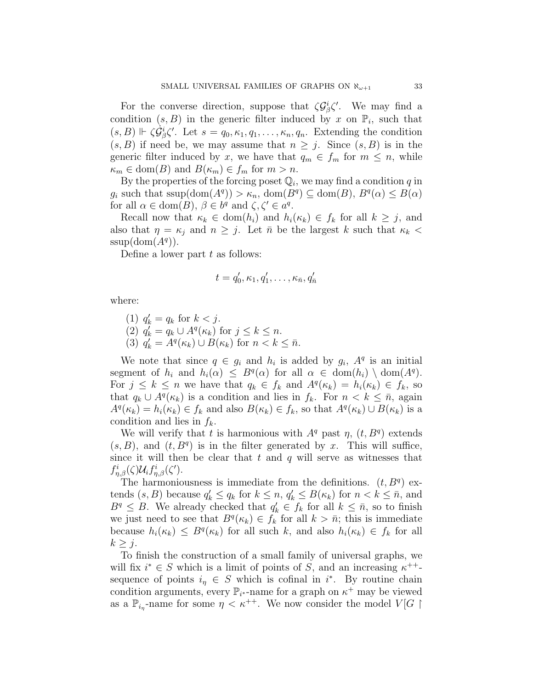For the converse direction, suppose that  $\zeta \mathcal{G}_{\beta}^{i} \zeta'$ . We may find a condition  $(s, B)$  in the generic filter induced by x on  $\mathbb{P}_i$ , such that  $(s, B) \Vdash \zeta \dot{\mathcal{G}}_{\beta}^{i} \zeta'.$  Let  $s = q_0, \kappa_1, q_1, \ldots, \kappa_n, q_n$ . Extending the condition  $(s, B)$  if need be, we may assume that  $n \geq j$ . Since  $(s, B)$  is in the generic filter induced by x, we have that  $q_m \in f_m$  for  $m \leq n$ , while  $\kappa_m \in \text{dom}(B)$  and  $B(\kappa_m) \in f_m$  for  $m > n$ .

By the properties of the forcing poset  $\mathbb{Q}_i$ , we may find a condition q in  $g_i$  such that  $\text{ssup}(\text{dom}(A^q)) > \kappa_n$ ,  $\text{dom}(B^q) \subseteq \text{dom}(B)$ ,  $B^q(\alpha) \leq B(\alpha)$ for all  $\alpha \in \text{dom}(B)$ ,  $\beta \in b^q$  and  $\zeta, \zeta' \in a^q$ .

Recall now that  $\kappa_k \in \text{dom}(h_i)$  and  $h_i(\kappa_k) \in f_k$  for all  $k \geq j$ , and also that  $\eta = \kappa_i$  and  $n \geq j$ . Let  $\bar{n}$  be the largest k such that  $\kappa_k$  $ssup(\text{dom}(A^q)).$ 

Define a lower part  $t$  as follows:

$$
t = q'_0, \kappa_1, q'_1, \ldots, \kappa_{\bar{n}}, q'_{\bar{n}}
$$

where:

(1)  $q'_k = q_k \text{ for } k < j.$ (2)  $q'_k = q_k \cup A^q(\kappa_k)$  for  $j \leq k \leq n$ . (3)  $q'_k = A^q(\kappa_k) \cup B(\kappa_k)$  for  $n < k \leq \bar{n}$ .

We note that since  $q \in g_i$  and  $h_i$  is added by  $g_i$ ,  $A^q$  is an initial segment of  $h_i$  and  $h_i(\alpha) \leq B^q(\alpha)$  for all  $\alpha \in \text{dom}(h_i) \setminus \text{dom}(A^q)$ . For  $j \leq k \leq n$  we have that  $q_k \in f_k$  and  $A^q(\kappa_k) = h_i(\kappa_k) \in f_k$ , so that  $q_k \cup A^q(\kappa_k)$  is a condition and lies in  $f_k$ . For  $n < k \leq \bar{n}$ , again  $A^q(\kappa_k) = h_i(\kappa_k) \in f_k$  and also  $B(\kappa_k) \in f_k$ , so that  $A^q(\kappa_k) \cup B(\kappa_k)$  is a condition and lies in  $f_k$ .

We will verify that t is harmonious with  $A<sup>q</sup>$  past  $\eta$ ,  $(t, B<sup>q</sup>)$  extends  $(s, B)$ , and  $(t, B<sup>q</sup>)$  is in the filter generated by x. This will suffice, since it will then be clear that  $t$  and  $q$  will serve as witnesses that  $f_{\eta,\beta}^i(\zeta) \mathcal{U}_i f_{\eta,\beta}^i(\zeta').$ 

The harmoniousness is immediate from the definitions.  $(t, B<sup>q</sup>)$  extends  $(s, B)$  because  $q'_k \leq q_k$  for  $k \leq n$ ,  $q'_k \leq B(\kappa_k)$  for  $n < k \leq \bar{n}$ , and  $B^q \leq B$ . We already checked that  $q'_k \in f_k$  for all  $k \leq \bar{n}$ , so to finish we just need to see that  $B^q(\kappa_k) \in f_k$  for all  $k > \bar{n}$ ; this is immediate because  $h_i(\kappa_k) \leq B^q(\kappa_k)$  for all such k, and also  $h_i(\kappa_k) \in f_k$  for all  $k \geq j$ .

To finish the construction of a small family of universal graphs, we will fix  $i^* \in S$  which is a limit of points of S, and an increasing  $\kappa^{++}$ sequence of points  $i<sub>η</sub> \in S$  which is cofinal in i<sup>\*</sup>. By routine chain condition arguments, every  $\mathbb{P}_{i^*}$ -name for a graph on  $\kappa^+$  may be viewed as a  $\mathbb{P}_{i_{\eta}}$ -name for some  $\eta < \kappa^{++}$ . We now consider the model  $V[G]$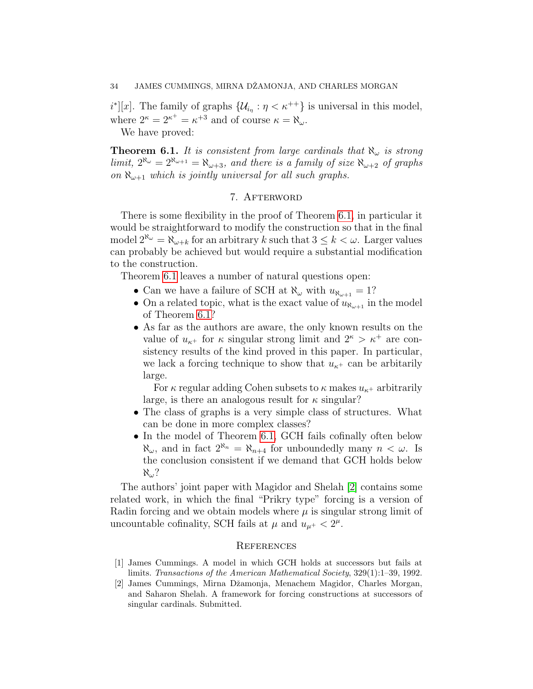$i^*[[x]]$ . The family of graphs  $\{\mathcal{U}_{i_{\eta}} : \eta < \kappa^{++}\}\$ is universal in this model, where  $2^{\kappa} = 2^{\kappa^+} = \kappa^{+3}$  and of course  $\kappa = \aleph_{\omega}$ .

We have proved:

<span id="page-33-3"></span>**Theorem 6.1.** It is consistent from large cardinals that  $\aleph_{\omega}$  is strong limit,  $2^{\aleph_{\omega}} = 2^{\aleph_{\omega+1}} = \aleph_{\omega+3}$ , and there is a family of size  $\aleph_{\omega+2}$  of graphs on  $\aleph_{\omega+1}$  which is jointly universal for all such graphs.

### 7. AFTERWORD

<span id="page-33-1"></span>There is some flexibility in the proof of Theorem [6.1,](#page-33-3) in particular it would be straightforward to modify the construction so that in the final model  $2^{\aleph_{\omega}} = \aleph_{\omega+k}$  for an arbitrary k such that  $3 \leq k < \omega$ . Larger values can probably be achieved but would require a substantial modification to the construction.

Theorem [6.1](#page-33-3) leaves a number of natural questions open:

- Can we have a failure of SCH at  $\aleph_{\omega}$  with  $u_{\aleph_{\omega+1}} = 1$ ?
- On a related topic, what is the exact value of  $u_{\aleph_{\omega+1}}$  in the model of Theorem [6.1?](#page-33-3)
- As far as the authors are aware, the only known results on the value of  $u_{\kappa^+}$  for  $\kappa$  singular strong limit and  $2^{\kappa} > \kappa^+$  are consistency results of the kind proved in this paper. In particular, we lack a forcing technique to show that  $u_{\kappa^+}$  can be arbitraily large.

For  $\kappa$  regular adding Cohen subsets to  $\kappa$  makes  $u_{\kappa+}$  arbitrarily large, is there an analogous result for  $\kappa$  singular?

- The class of graphs is a very simple class of structures. What can be done in more complex classes?
- In the model of Theorem [6.1,](#page-33-3) GCH fails cofinally often below  $\aleph_{\omega}$ , and in fact  $2^{\aleph_n} = \aleph_{n+4}$  for unboundedly many  $n < \omega$ . Is the conclusion consistent if we demand that GCH holds below  $\aleph_{\omega}$ ?

The authors' joint paper with Magidor and Shelah [\[2\]](#page-33-0) contains some related work, in which the final "Prikry type" forcing is a version of Radin forcing and we obtain models where  $\mu$  is singular strong limit of uncountable cofinality, SCH fails at  $\mu$  and  $u_{\mu^+} < 2^{\mu}$ .

#### **REFERENCES**

- <span id="page-33-2"></span>[1] James Cummings. A model in which GCH holds at successors but fails at limits. Transactions of the American Mathematical Society, 329(1):1–39, 1992.
- <span id="page-33-0"></span>[2] James Cummings, Mirna Dˇzamonja, Menachem Magidor, Charles Morgan, and Saharon Shelah. A framework for forcing constructions at successors of singular cardinals. Submitted.